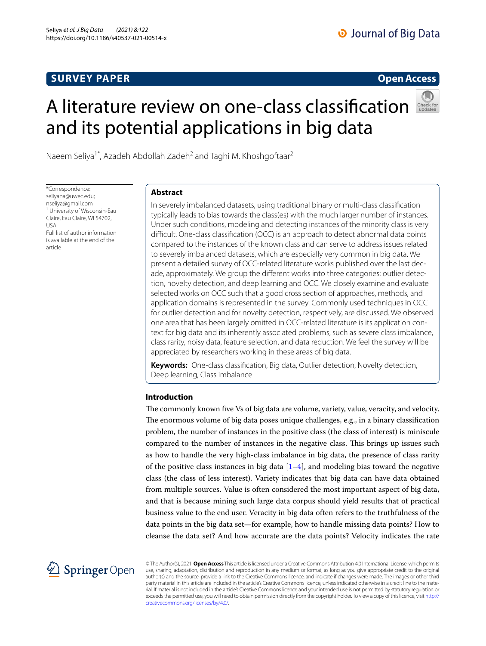# **SURVEY PAPER**

## **Open Access**

# A literature review on one‑class classifcation and its potential applications in big data



Naeem Seliya<sup>1\*</sup>, Azadeh Abdollah Zadeh<sup>2</sup> and Taghi M. Khoshgoftaar<sup>2</sup>

\*Correspondence: seliyana@uwec.edu; nseliya@gmail.com 1 University of Wisconsin-Eau Claire, Eau Claire, WI 54702, USA Full list of author information is available at the end of the article

## **Abstract**

In severely imbalanced datasets, using traditional binary or multi-class classifcation typically leads to bias towards the class(es) with the much larger number of instances. Under such conditions, modeling and detecting instances of the minority class is very difcult. One-class classifcation (OCC) is an approach to detect abnormal data points compared to the instances of the known class and can serve to address issues related to severely imbalanced datasets, which are especially very common in big data. We present a detailed survey of OCC-related literature works published over the last decade, approximately. We group the diferent works into three categories: outlier detection, novelty detection, and deep learning and OCC. We closely examine and evaluate selected works on OCC such that a good cross section of approaches, methods, and application domains is represented in the survey. Commonly used techniques in OCC for outlier detection and for novelty detection, respectively, are discussed. We observed one area that has been largely omitted in OCC-related literature is its application context for big data and its inherently associated problems, such as severe class imbalance, class rarity, noisy data, feature selection, and data reduction. We feel the survey will be appreciated by researchers working in these areas of big data.

**Keywords:** One-class classifcation, Big data, Outlier detection, Novelty detection, Deep learning, Class imbalance

## **Introduction**

The commonly known five Vs of big data are volume, variety, value, veracity, and velocity. The enormous volume of big data poses unique challenges, e.g., in a binary classification problem, the number of instances in the positive class (the class of interest) is miniscule compared to the number of instances in the negative class. This brings up issues such as how to handle the very high-class imbalance in big data, the presence of class rarity of the positive class instances in big data  $[1-4]$  $[1-4]$  $[1-4]$ , and modeling bias toward the negative class (the class of less interest). Variety indicates that big data can have data obtained from multiple sources. Value is often considered the most important aspect of big data, and that is because mining such large data corpus should yield results that of practical business value to the end user. Veracity in big data often refers to the truthfulness of the data points in the big data set—for example, how to handle missing data points? How to cleanse the data set? And how accurate are the data points? Velocity indicates the rate



© The Author(s), 2021. **Open Access** This article is licensed under a Creative Commons Attribution 4.0 International License, which permits use, sharing, adaptation, distribution and reproduction in any medium or format, as long as you give appropriate credit to the original author(s) and the source, provide a link to the Creative Commons licence, and indicate if changes were made. The images or other third party material in this article are included in the article's Creative Commons licence, unless indicated otherwise in a credit line to the material. If material is not included in the article's Creative Commons licence and your intended use is not permitted by statutory regulation or exceeds the permitted use, you will need to obtain permission directly from the copyright holder. To view a copy of this licence, visit [http://](http://creativecommons.org/licenses/by/4.0/) [creativecommons.org/licenses/by/4.0/.](http://creativecommons.org/licenses/by/4.0/)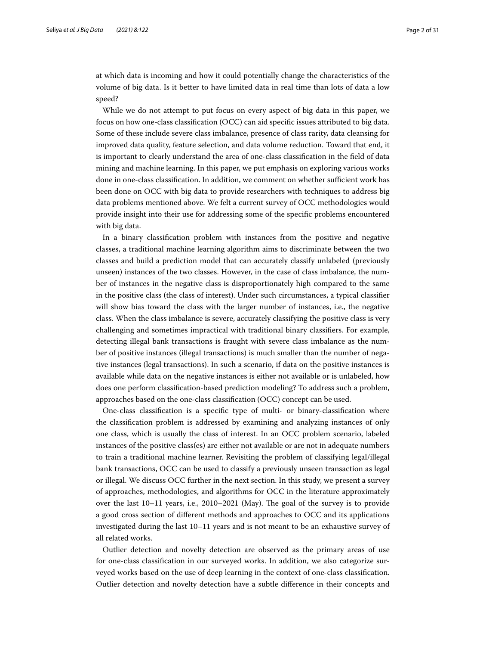at which data is incoming and how it could potentially change the characteristics of the volume of big data. Is it better to have limited data in real time than lots of data a low speed?

While we do not attempt to put focus on every aspect of big data in this paper, we focus on how one-class classifcation (OCC) can aid specifc issues attributed to big data. Some of these include severe class imbalance, presence of class rarity, data cleansing for improved data quality, feature selection, and data volume reduction. Toward that end, it is important to clearly understand the area of one-class classifcation in the feld of data mining and machine learning. In this paper, we put emphasis on exploring various works done in one-class classification. In addition, we comment on whether sufficient work has been done on OCC with big data to provide researchers with techniques to address big data problems mentioned above. We felt a current survey of OCC methodologies would provide insight into their use for addressing some of the specifc problems encountered with big data.

In a binary classifcation problem with instances from the positive and negative classes, a traditional machine learning algorithm aims to discriminate between the two classes and build a prediction model that can accurately classify unlabeled (previously unseen) instances of the two classes. However, in the case of class imbalance, the number of instances in the negative class is disproportionately high compared to the same in the positive class (the class of interest). Under such circumstances, a typical classifer will show bias toward the class with the larger number of instances, i.e., the negative class. When the class imbalance is severe, accurately classifying the positive class is very challenging and sometimes impractical with traditional binary classifers. For example, detecting illegal bank transactions is fraught with severe class imbalance as the number of positive instances (illegal transactions) is much smaller than the number of negative instances (legal transactions). In such a scenario, if data on the positive instances is available while data on the negative instances is either not available or is unlabeled, how does one perform classifcation-based prediction modeling? To address such a problem, approaches based on the one-class classifcation (OCC) concept can be used.

One-class classifcation is a specifc type of multi- or binary-classifcation where the classifcation problem is addressed by examining and analyzing instances of only one class, which is usually the class of interest. In an OCC problem scenario, labeled instances of the positive class(es) are either not available or are not in adequate numbers to train a traditional machine learner. Revisiting the problem of classifying legal/illegal bank transactions, OCC can be used to classify a previously unseen transaction as legal or illegal. We discuss OCC further in the next section. In this study, we present a survey of approaches, methodologies, and algorithms for OCC in the literature approximately over the last  $10-11$  years, i.e.,  $2010-2021$  (May). The goal of the survey is to provide a good cross section of diferent methods and approaches to OCC and its applications investigated during the last 10–11 years and is not meant to be an exhaustive survey of all related works.

Outlier detection and novelty detection are observed as the primary areas of use for one-class classifcation in our surveyed works. In addition, we also categorize surveyed works based on the use of deep learning in the context of one-class classifcation. Outlier detection and novelty detection have a subtle diference in their concepts and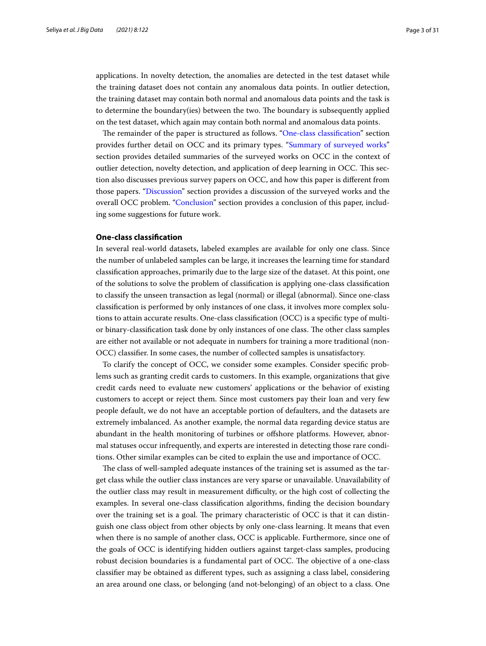applications. In novelty detection, the anomalies are detected in the test dataset while the training dataset does not contain any anomalous data points. In outlier detection, the training dataset may contain both normal and anomalous data points and the task is to determine the boundary(ies) between the two. The boundary is subsequently applied on the test dataset, which again may contain both normal and anomalous data points.

The remainder of the paper is structured as follows. "One-class classification" section provides further detail on OCC and its primary types. ["Summary of surveyed works"](#page-4-0) section provides detailed summaries of the surveyed works on OCC in the context of outlier detection, novelty detection, and application of deep learning in OCC. Tis section also discusses previous survey papers on OCC, and how this paper is diferent from those papers. "[Discussion"](#page-22-0) section provides a discussion of the surveyed works and the overall OCC problem. ["Conclusion](#page-26-0)" section provides a conclusion of this paper, including some suggestions for future work.

## <span id="page-2-0"></span>**One‑class classifcation**

In several real-world datasets, labeled examples are available for only one class. Since the number of unlabeled samples can be large, it increases the learning time for standard classifcation approaches, primarily due to the large size of the dataset. At this point, one of the solutions to solve the problem of classifcation is applying one-class classifcation to classify the unseen transaction as legal (normal) or illegal (abnormal). Since one-class classifcation is performed by only instances of one class, it involves more complex solutions to attain accurate results. One-class classifcation (OCC) is a specifc type of multior binary-classification task done by only instances of one class. The other class samples are either not available or not adequate in numbers for training a more traditional (non-OCC) classifer. In some cases, the number of collected samples is unsatisfactory.

To clarify the concept of OCC, we consider some examples. Consider specifc problems such as granting credit cards to customers. In this example, organizations that give credit cards need to evaluate new customers' applications or the behavior of existing customers to accept or reject them. Since most customers pay their loan and very few people default, we do not have an acceptable portion of defaulters, and the datasets are extremely imbalanced. As another example, the normal data regarding device status are abundant in the health monitoring of turbines or ofshore platforms. However, abnormal statuses occur infrequently, and experts are interested in detecting those rare conditions. Other similar examples can be cited to explain the use and importance of OCC.

The class of well-sampled adequate instances of the training set is assumed as the target class while the outlier class instances are very sparse or unavailable. Unavailability of the outlier class may result in measurement difculty, or the high cost of collecting the examples. In several one-class classifcation algorithms, fnding the decision boundary over the training set is a goal. The primary characteristic of OCC is that it can distinguish one class object from other objects by only one-class learning. It means that even when there is no sample of another class, OCC is applicable. Furthermore, since one of the goals of OCC is identifying hidden outliers against target-class samples, producing robust decision boundaries is a fundamental part of OCC. The objective of a one-class classifer may be obtained as diferent types, such as assigning a class label, considering an area around one class, or belonging (and not-belonging) of an object to a class. One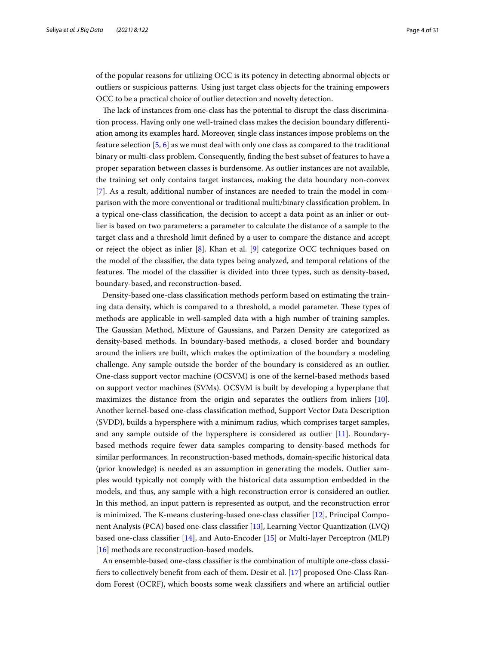of the popular reasons for utilizing OCC is its potency in detecting abnormal objects or outliers or suspicious patterns. Using just target class objects for the training empowers OCC to be a practical choice of outlier detection and novelty detection.

The lack of instances from one-class has the potential to disrupt the class discrimination process. Having only one well-trained class makes the decision boundary diferentiation among its examples hard. Moreover, single class instances impose problems on the feature selection [\[5](#page-27-2), [6](#page-27-3)] as we must deal with only one class as compared to the traditional binary or multi-class problem. Consequently, fnding the best subset of features to have a proper separation between classes is burdensome. As outlier instances are not available, the training set only contains target instances, making the data boundary non-convex [[7\]](#page-27-4). As a result, additional number of instances are needed to train the model in comparison with the more conventional or traditional multi/binary classifcation problem. In a typical one-class classifcation, the decision to accept a data point as an inlier or outlier is based on two parameters: a parameter to calculate the distance of a sample to the target class and a threshold limit defned by a user to compare the distance and accept or reject the object as inlier [[8](#page-27-5)]. Khan et al. [[9](#page-27-6)] categorize OCC techniques based on the model of the classifer, the data types being analyzed, and temporal relations of the features. The model of the classifier is divided into three types, such as density-based, boundary-based, and reconstruction-based.

Density-based one-class classifcation methods perform based on estimating the training data density, which is compared to a threshold, a model parameter. These types of methods are applicable in well-sampled data with a high number of training samples. The Gaussian Method, Mixture of Gaussians, and Parzen Density are categorized as density-based methods. In boundary-based methods, a closed border and boundary around the inliers are built, which makes the optimization of the boundary a modeling challenge. Any sample outside the border of the boundary is considered as an outlier. One-class support vector machine (OCSVM) is one of the kernel-based methods based on support vector machines (SVMs). OCSVM is built by developing a hyperplane that maximizes the distance from the origin and separates the outliers from inliers [\[10](#page-28-0)]. Another kernel-based one-class classifcation method, Support Vector Data Description (SVDD), builds a hypersphere with a minimum radius, which comprises target samples, and any sample outside of the hypersphere is considered as outlier [\[11\]](#page-28-1). Boundarybased methods require fewer data samples comparing to density-based methods for similar performances. In reconstruction-based methods, domain-specifc historical data (prior knowledge) is needed as an assumption in generating the models. Outlier samples would typically not comply with the historical data assumption embedded in the models, and thus, any sample with a high reconstruction error is considered an outlier. In this method, an input pattern is represented as output, and the reconstruction error is minimized. The K-means clustering-based one-class classifier  $[12]$  $[12]$ , Principal Component Analysis (PCA) based one-class classifer [[13](#page-28-3)], Learning Vector Quantization (LVQ) based one-class classifer [\[14\]](#page-28-4), and Auto-Encoder [\[15](#page-28-5)] or Multi-layer Perceptron (MLP) [[16\]](#page-28-6) methods are reconstruction-based models.

An ensemble-based one-class classifer is the combination of multiple one-class classifers to collectively beneft from each of them. Desir et al. [\[17](#page-28-7)] proposed One-Class Random Forest (OCRF), which boosts some weak classifers and where an artifcial outlier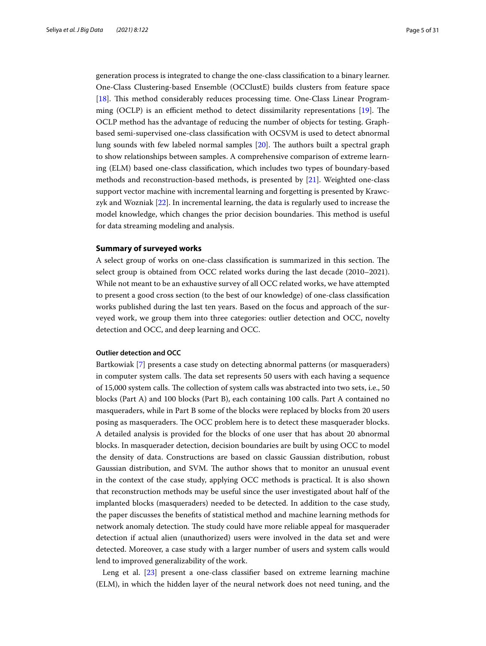generation process is integrated to change the one-class classifcation to a binary learner. One-Class Clustering-based Ensemble (OCClustE) builds clusters from feature space [[18\]](#page-28-8). This method considerably reduces processing time. One-Class Linear Programming (OCLP) is an efficient method to detect dissimilarity representations  $[19]$  $[19]$ . The OCLP method has the advantage of reducing the number of objects for testing. Graphbased semi-supervised one-class classifcation with OCSVM is used to detect abnormal lung sounds with few labeled normal samples  $[20]$  $[20]$ . The authors built a spectral graph to show relationships between samples. A comprehensive comparison of extreme learning (ELM) based one-class classifcation, which includes two types of boundary-based methods and reconstruction-based methods, is presented by [\[21\]](#page-28-11). Weighted one-class support vector machine with incremental learning and forgetting is presented by Krawczyk and Wozniak [[22\]](#page-28-12). In incremental learning, the data is regularly used to increase the model knowledge, which changes the prior decision boundaries. This method is useful for data streaming modeling and analysis.

## <span id="page-4-0"></span>**Summary of surveyed works**

A select group of works on one-class classification is summarized in this section. The select group is obtained from OCC related works during the last decade (2010–2021). While not meant to be an exhaustive survey of all OCC related works, we have attempted to present a good cross section (to the best of our knowledge) of one-class classifcation works published during the last ten years. Based on the focus and approach of the surveyed work, we group them into three categories: outlier detection and OCC, novelty detection and OCC, and deep learning and OCC.

## **Outlier detection and OCC**

Bartkowiak [\[7](#page-27-4)] presents a case study on detecting abnormal patterns (or masqueraders) in computer system calls. The data set represents 50 users with each having a sequence of 15,000 system calls. The collection of system calls was abstracted into two sets, i.e., 50 blocks (Part A) and 100 blocks (Part B), each containing 100 calls. Part A contained no masqueraders, while in Part B some of the blocks were replaced by blocks from 20 users posing as masqueraders. The OCC problem here is to detect these masquerader blocks. A detailed analysis is provided for the blocks of one user that has about 20 abnormal blocks. In masquerader detection, decision boundaries are built by using OCC to model the density of data. Constructions are based on classic Gaussian distribution, robust Gaussian distribution, and SVM. The author shows that to monitor an unusual event in the context of the case study, applying OCC methods is practical. It is also shown that reconstruction methods may be useful since the user investigated about half of the implanted blocks (masqueraders) needed to be detected. In addition to the case study, the paper discusses the benefts of statistical method and machine learning methods for network anomaly detection. The study could have more reliable appeal for masquerader detection if actual alien (unauthorized) users were involved in the data set and were detected. Moreover, a case study with a larger number of users and system calls would lend to improved generalizability of the work.

Leng et al. [[23\]](#page-28-13) present a one-class classifier based on extreme learning machine (ELM), in which the hidden layer of the neural network does not need tuning, and the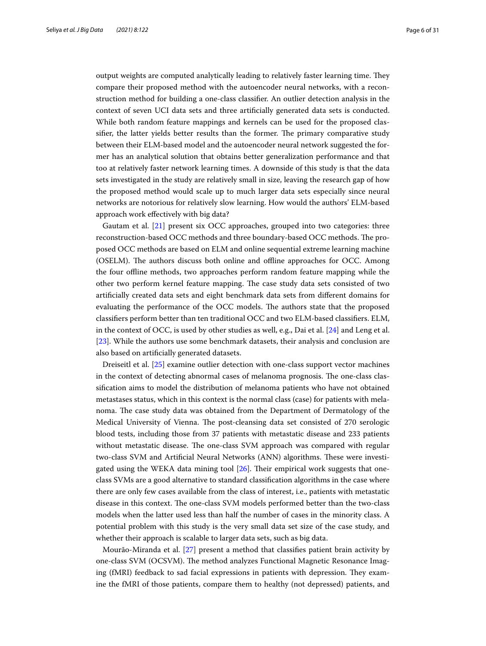output weights are computed analytically leading to relatively faster learning time. They compare their proposed method with the autoencoder neural networks, with a reconstruction method for building a one-class classifer. An outlier detection analysis in the context of seven UCI data sets and three artifcially generated data sets is conducted. While both random feature mappings and kernels can be used for the proposed classifier, the latter yields better results than the former. The primary comparative study between their ELM-based model and the autoencoder neural network suggested the former has an analytical solution that obtains better generalization performance and that too at relatively faster network learning times. A downside of this study is that the data sets investigated in the study are relatively small in size, leaving the research gap of how the proposed method would scale up to much larger data sets especially since neural networks are notorious for relatively slow learning. How would the authors' ELM-based approach work efectively with big data?

Gautam et al.  $[21]$  $[21]$  $[21]$  present six OCC approaches, grouped into two categories: three reconstruction-based OCC methods and three boundary-based OCC methods. The proposed OCC methods are based on ELM and online sequential extreme learning machine (OSELM). The authors discuss both online and offline approaches for OCC. Among the four ofine methods, two approaches perform random feature mapping while the other two perform kernel feature mapping. The case study data sets consisted of two artifcially created data sets and eight benchmark data sets from diferent domains for evaluating the performance of the OCC models. The authors state that the proposed classifers perform better than ten traditional OCC and two ELM-based classifers. ELM, in the context of OCC, is used by other studies as well, e.g., Dai et al. [[24\]](#page-28-14) and Leng et al. [[23\]](#page-28-13). While the authors use some benchmark datasets, their analysis and conclusion are also based on artifcially generated datasets.

Dreiseitl et al. [\[25\]](#page-28-15) examine outlier detection with one-class support vector machines in the context of detecting abnormal cases of melanoma prognosis. The one-class classifcation aims to model the distribution of melanoma patients who have not obtained metastases status, which in this context is the normal class (case) for patients with melanoma. The case study data was obtained from the Department of Dermatology of the Medical University of Vienna. The post-cleansing data set consisted of 270 serologic blood tests, including those from 37 patients with metastatic disease and 233 patients without metastatic disease. The one-class SVM approach was compared with regular two-class SVM and Artificial Neural Networks (ANN) algorithms. These were investigated using the WEKA data mining tool  $[26]$ . Their empirical work suggests that oneclass SVMs are a good alternative to standard classifcation algorithms in the case where there are only few cases available from the class of interest, i.e., patients with metastatic disease in this context. The one-class SVM models performed better than the two-class models when the latter used less than half the number of cases in the minority class. A potential problem with this study is the very small data set size of the case study, and whether their approach is scalable to larger data sets, such as big data.

Mourão-Miranda et al. [\[27](#page-28-17)] present a method that classifes patient brain activity by one-class SVM (OCSVM). The method analyzes Functional Magnetic Resonance Imaging (fMRI) feedback to sad facial expressions in patients with depression. They examine the fMRI of those patients, compare them to healthy (not depressed) patients, and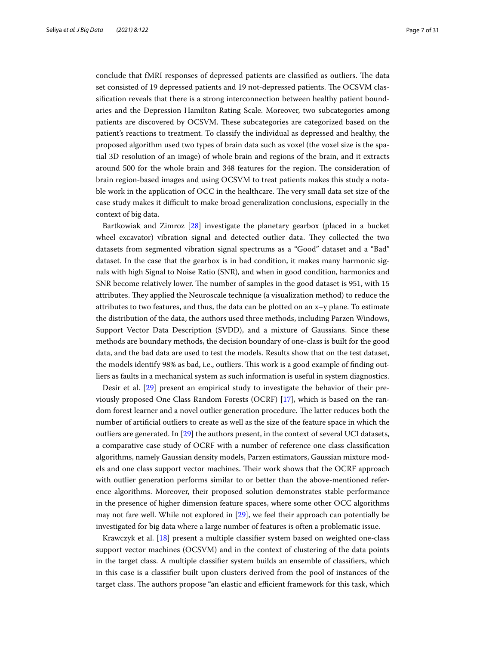conclude that fMRI responses of depressed patients are classified as outliers. The data set consisted of 19 depressed patients and 19 not-depressed patients. The OCSVM classifcation reveals that there is a strong interconnection between healthy patient boundaries and the Depression Hamilton Rating Scale. Moreover, two subcategories among patients are discovered by OCSVM. These subcategories are categorized based on the patient's reactions to treatment. To classify the individual as depressed and healthy, the proposed algorithm used two types of brain data such as voxel (the voxel size is the spatial 3D resolution of an image) of whole brain and regions of the brain, and it extracts around 500 for the whole brain and 348 features for the region. The consideration of brain region-based images and using OCSVM to treat patients makes this study a notable work in the application of OCC in the healthcare. The very small data set size of the case study makes it difcult to make broad generalization conclusions, especially in the context of big data.

Bartkowiak and Zimroz [[28\]](#page-28-18) investigate the planetary gearbox (placed in a bucket wheel excavator) vibration signal and detected outlier data. They collected the two datasets from segmented vibration signal spectrums as a "Good" dataset and a "Bad" dataset. In the case that the gearbox is in bad condition, it makes many harmonic signals with high Signal to Noise Ratio (SNR), and when in good condition, harmonics and SNR become relatively lower. The number of samples in the good dataset is 951, with 15 attributes. They applied the Neuroscale technique (a visualization method) to reduce the attributes to two features, and thus, the data can be plotted on an x–y plane. To estimate the distribution of the data, the authors used three methods, including Parzen Windows, Support Vector Data Description (SVDD), and a mixture of Gaussians. Since these methods are boundary methods, the decision boundary of one-class is built for the good data, and the bad data are used to test the models. Results show that on the test dataset, the models identify 98% as bad, i.e., outliers. This work is a good example of finding outliers as faults in a mechanical system as such information is useful in system diagnostics.

Desir et al. [[29\]](#page-28-19) present an empirical study to investigate the behavior of their previously proposed One Class Random Forests (OCRF) [[17\]](#page-28-7), which is based on the random forest learner and a novel outlier generation procedure. The latter reduces both the number of artifcial outliers to create as well as the size of the feature space in which the outliers are generated. In [\[29](#page-28-19)] the authors present, in the context of several UCI datasets, a comparative case study of OCRF with a number of reference one class classifcation algorithms, namely Gaussian density models, Parzen estimators, Gaussian mixture models and one class support vector machines. Their work shows that the OCRF approach with outlier generation performs similar to or better than the above-mentioned reference algorithms. Moreover, their proposed solution demonstrates stable performance in the presence of higher dimension feature spaces, where some other OCC algorithms may not fare well. While not explored in [\[29](#page-28-19)], we feel their approach can potentially be investigated for big data where a large number of features is often a problematic issue.

Krawczyk et al. [\[18\]](#page-28-8) present a multiple classifer system based on weighted one-class support vector machines (OCSVM) and in the context of clustering of the data points in the target class. A multiple classifer system builds an ensemble of classifers, which in this case is a classifer built upon clusters derived from the pool of instances of the target class. The authors propose "an elastic and efficient framework for this task, which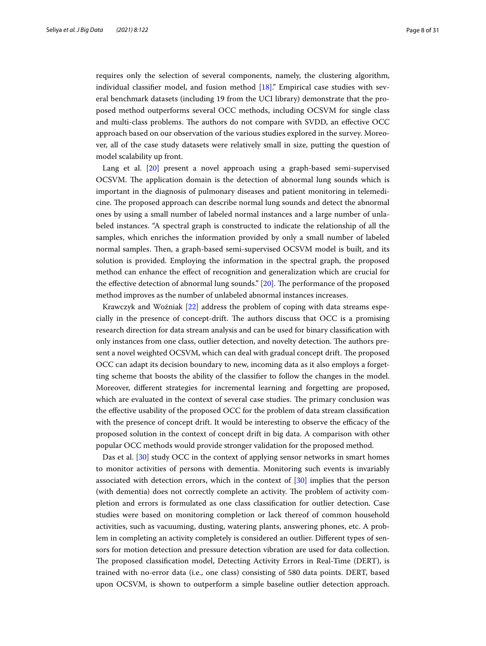requires only the selection of several components, namely, the clustering algorithm, individual classifier model, and fusion method  $[18]$  $[18]$  $[18]$ ." Empirical case studies with several benchmark datasets (including 19 from the UCI library) demonstrate that the proposed method outperforms several OCC methods, including OCSVM for single class and multi-class problems. The authors do not compare with SVDD, an effective OCC approach based on our observation of the various studies explored in the survey. Moreover, all of the case study datasets were relatively small in size, putting the question of model scalability up front.

Lang et al. [\[20](#page-28-10)] present a novel approach using a graph-based semi-supervised OCSVM. The application domain is the detection of abnormal lung sounds which is important in the diagnosis of pulmonary diseases and patient monitoring in telemedicine. The proposed approach can describe normal lung sounds and detect the abnormal ones by using a small number of labeled normal instances and a large number of unlabeled instances. "A spectral graph is constructed to indicate the relationship of all the samples, which enriches the information provided by only a small number of labeled normal samples. Then, a graph-based semi-supervised OCSVM model is built, and its solution is provided. Employing the information in the spectral graph, the proposed method can enhance the efect of recognition and generalization which are crucial for the effective detection of abnormal lung sounds." [[20](#page-28-10)]. The performance of the proposed method improves as the number of unlabeled abnormal instances increases.

Krawczyk and Woźniak [[22](#page-28-12)] address the problem of coping with data streams especially in the presence of concept-drift. Te authors discuss that OCC is a promising research direction for data stream analysis and can be used for binary classifcation with only instances from one class, outlier detection, and novelty detection. The authors present a novel weighted OCSVM, which can deal with gradual concept drift. The proposed OCC can adapt its decision boundary to new, incoming data as it also employs a forgetting scheme that boosts the ability of the classifer to follow the changes in the model. Moreover, diferent strategies for incremental learning and forgetting are proposed, which are evaluated in the context of several case studies. The primary conclusion was the efective usability of the proposed OCC for the problem of data stream classifcation with the presence of concept drift. It would be interesting to observe the efficacy of the proposed solution in the context of concept drift in big data. A comparison with other popular OCC methods would provide stronger validation for the proposed method.

Das et al. [[30\]](#page-28-20) study OCC in the context of applying sensor networks in smart homes to monitor activities of persons with dementia. Monitoring such events is invariably associated with detection errors, which in the context of [\[30](#page-28-20)] implies that the person (with dementia) does not correctly complete an activity. The problem of activity completion and errors is formulated as one class classifcation for outlier detection. Case studies were based on monitoring completion or lack thereof of common household activities, such as vacuuming, dusting, watering plants, answering phones, etc. A problem in completing an activity completely is considered an outlier. Diferent types of sensors for motion detection and pressure detection vibration are used for data collection. The proposed classification model, Detecting Activity Errors in Real-Time (DERT), is trained with no-error data (i.e., one class) consisting of 580 data points. DERT, based upon OCSVM, is shown to outperform a simple baseline outlier detection approach.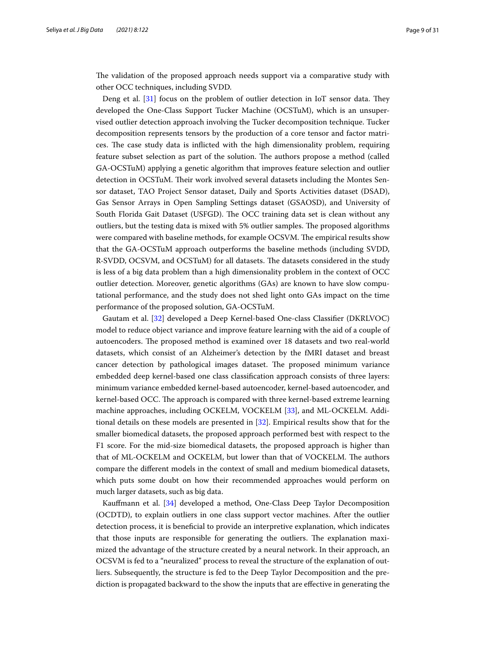The validation of the proposed approach needs support via a comparative study with other OCC techniques, including SVDD.

Deng et al.  $[31]$  $[31]$  $[31]$  focus on the problem of outlier detection in IoT sensor data. They developed the One-Class Support Tucker Machine (OCSTuM), which is an unsupervised outlier detection approach involving the Tucker decomposition technique. Tucker decomposition represents tensors by the production of a core tensor and factor matrices. The case study data is inflicted with the high dimensionality problem, requiring feature subset selection as part of the solution. The authors propose a method (called GA-OCSTuM) applying a genetic algorithm that improves feature selection and outlier detection in OCSTuM. Their work involved several datasets including the Montes Sensor dataset, TAO Project Sensor dataset, Daily and Sports Activities dataset (DSAD), Gas Sensor Arrays in Open Sampling Settings dataset (GSAOSD), and University of South Florida Gait Dataset (USFGD). The OCC training data set is clean without any outliers, but the testing data is mixed with 5% outlier samples. The proposed algorithms were compared with baseline methods, for example OCSVM. The empirical results show that the GA-OCSTuM approach outperforms the baseline methods (including SVDD, R-SVDD, OCSVM, and OCSTuM) for all datasets. The datasets considered in the study is less of a big data problem than a high dimensionality problem in the context of OCC outlier detection. Moreover, genetic algorithms (GAs) are known to have slow computational performance, and the study does not shed light onto GAs impact on the time performance of the proposed solution, GA-OCSTuM.

Gautam et al. [[32](#page-28-22)] developed a Deep Kernel-based One-class Classifer (DKRLVOC) model to reduce object variance and improve feature learning with the aid of a couple of autoencoders. The proposed method is examined over 18 datasets and two real-world datasets, which consist of an Alzheimer's detection by the fMRI dataset and breast cancer detection by pathological images dataset. The proposed minimum variance embedded deep kernel-based one class classifcation approach consists of three layers: minimum variance embedded kernel-based autoencoder, kernel-based autoencoder, and kernel-based OCC. The approach is compared with three kernel-based extreme learning machine approaches, including OCKELM, VOCKELM [[33\]](#page-28-23), and ML-OCKELM. Additional details on these models are presented in [\[32](#page-28-22)]. Empirical results show that for the smaller biomedical datasets, the proposed approach performed best with respect to the F1 score. For the mid-size biomedical datasets, the proposed approach is higher than that of ML-OCKELM and OCKELM, but lower than that of VOCKELM. The authors compare the diferent models in the context of small and medium biomedical datasets, which puts some doubt on how their recommended approaches would perform on much larger datasets, such as big data.

Kaufmann et al. [\[34](#page-28-24)] developed a method, One-Class Deep Taylor Decomposition (OCDTD), to explain outliers in one class support vector machines. After the outlier detection process, it is beneficial to provide an interpretive explanation, which indicates that those inputs are responsible for generating the outliers. The explanation maximized the advantage of the structure created by a neural network. In their approach, an OCSVM is fed to a "neuralized" process to reveal the structure of the explanation of outliers. Subsequently, the structure is fed to the Deep Taylor Decomposition and the prediction is propagated backward to the show the inputs that are efective in generating the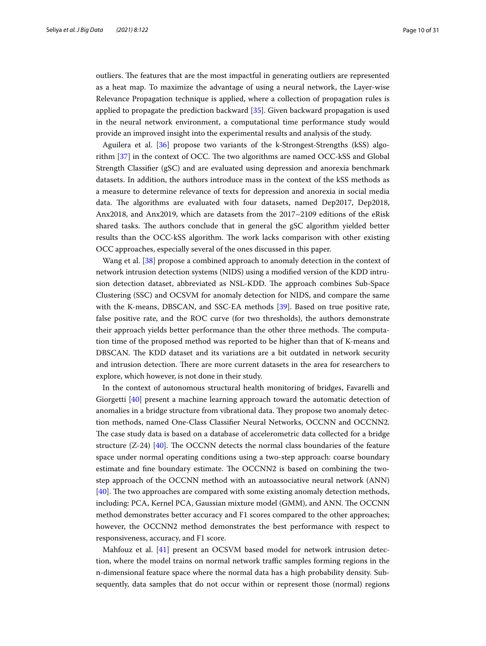outliers. The features that are the most impactful in generating outliers are represented as a heat map. To maximize the advantage of using a neural network, the Layer-wise Relevance Propagation technique is applied, where a collection of propagation rules is applied to propagate the prediction backward [\[35](#page-28-25)]. Given backward propagation is used in the neural network environment, a computational time performance study would provide an improved insight into the experimental results and analysis of the study.

Aguilera et al. [[36\]](#page-28-26) propose two variants of the k-Strongest-Strengths (kSS) algorithm  $[37]$  $[37]$  in the context of OCC. The two algorithms are named OCC-kSS and Global Strength Classifer (gSC) and are evaluated using depression and anorexia benchmark datasets. In addition, the authors introduce mass in the context of the kSS methods as a measure to determine relevance of texts for depression and anorexia in social media data. The algorithms are evaluated with four datasets, named Dep2017, Dep2018, Anx2018, and Anx2019, which are datasets from the 2017–2109 editions of the eRisk shared tasks. The authors conclude that in general the gSC algorithm yielded better results than the OCC-kSS algorithm. The work lacks comparison with other existing OCC approaches, especially several of the ones discussed in this paper.

Wang et al. [[38\]](#page-28-28) propose a combined approach to anomaly detection in the context of network intrusion detection systems (NIDS) using a modifed version of the KDD intrusion detection dataset, abbreviated as NSL-KDD. The approach combines Sub-Space Clustering (SSC) and OCSVM for anomaly detection for NIDS, and compare the same with the K-means, DBSCAN, and SSC-EA methods [\[39](#page-28-29)]. Based on true positive rate, false positive rate, and the ROC curve (for two thresholds), the authors demonstrate their approach yields better performance than the other three methods. The computation time of the proposed method was reported to be higher than that of K-means and DBSCAN. The KDD dataset and its variations are a bit outdated in network security and intrusion detection. There are more current datasets in the area for researchers to explore, which however, is not done in their study.

In the context of autonomous structural health monitoring of bridges, Favarelli and Giorgetti [\[40\]](#page-28-30) present a machine learning approach toward the automatic detection of anomalies in a bridge structure from vibrational data. They propose two anomaly detection methods, named One-Class Classifer Neural Networks, OCCNN and OCCNN2. The case study data is based on a database of accelerometric data collected for a bridge structure  $(Z-24)$  [[40\]](#page-28-30). The OCCNN detects the normal class boundaries of the feature space under normal operating conditions using a two-step approach: coarse boundary estimate and fine boundary estimate. The OCCNN2 is based on combining the twostep approach of the OCCNN method with an autoassociative neural network (ANN)  $[40]$  $[40]$ . The two approaches are compared with some existing anomaly detection methods, including: PCA, Kernel PCA, Gaussian mixture model (GMM), and ANN. The OCCNN method demonstrates better accuracy and F1 scores compared to the other approaches; however, the OCCNN2 method demonstrates the best performance with respect to responsiveness, accuracy, and F1 score.

Mahfouz et al. [[41\]](#page-28-31) present an OCSVM based model for network intrusion detection, where the model trains on normal network traffic samples forming regions in the n-dimensional feature space where the normal data has a high probability density. Subsequently, data samples that do not occur within or represent those (normal) regions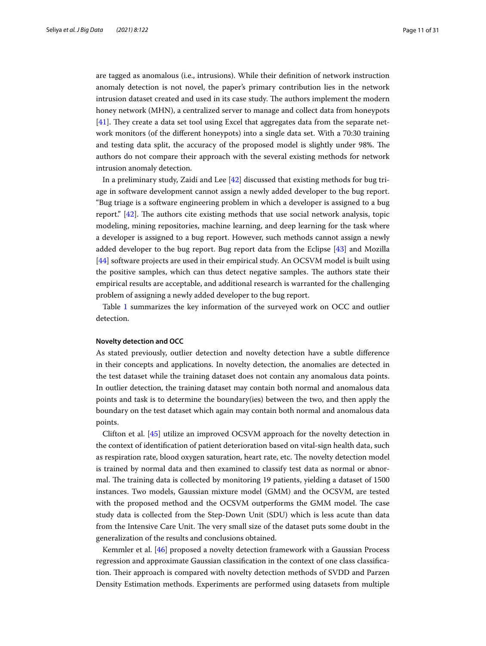are tagged as anomalous (i.e., intrusions). While their defnition of network instruction anomaly detection is not novel, the paper's primary contribution lies in the network intrusion dataset created and used in its case study. The authors implement the modern honey network (MHN), a centralized server to manage and collect data from honeypots [[41\]](#page-28-31). They create a data set tool using Excel that aggregates data from the separate network monitors (of the diferent honeypots) into a single data set. With a 70:30 training and testing data split, the accuracy of the proposed model is slightly under 98%. The authors do not compare their approach with the several existing methods for network intrusion anomaly detection.

In a preliminary study, Zaidi and Lee [\[42](#page-28-32)] discussed that existing methods for bug triage in software development cannot assign a newly added developer to the bug report. "Bug triage is a software engineering problem in which a developer is assigned to a bug report."  $[42]$  $[42]$ . The authors cite existing methods that use social network analysis, topic modeling, mining repositories, machine learning, and deep learning for the task where a developer is assigned to a bug report. However, such methods cannot assign a newly added developer to the bug report. Bug report data from the Eclipse [[43\]](#page-28-33) and Mozilla [[44\]](#page-28-34) software projects are used in their empirical study. An OCSVM model is built using the positive samples, which can thus detect negative samples. The authors state their empirical results are acceptable, and additional research is warranted for the challenging problem of assigning a newly added developer to the bug report.

Table [1](#page-11-0) summarizes the key information of the surveyed work on OCC and outlier detection.

#### **Novelty detection and OCC**

As stated previously, outlier detection and novelty detection have a subtle diference in their concepts and applications. In novelty detection, the anomalies are detected in the test dataset while the training dataset does not contain any anomalous data points. In outlier detection, the training dataset may contain both normal and anomalous data points and task is to determine the boundary(ies) between the two, and then apply the boundary on the test dataset which again may contain both normal and anomalous data points.

Clifton et al. [[45\]](#page-29-0) utilize an improved OCSVM approach for the novelty detection in the context of identifcation of patient deterioration based on vital-sign health data, such as respiration rate, blood oxygen saturation, heart rate, etc. The novelty detection model is trained by normal data and then examined to classify test data as normal or abnormal. The training data is collected by monitoring 19 patients, yielding a dataset of 1500 instances. Two models, Gaussian mixture model (GMM) and the OCSVM, are tested with the proposed method and the OCSVM outperforms the GMM model. The case study data is collected from the Step-Down Unit (SDU) which is less acute than data from the Intensive Care Unit. The very small size of the dataset puts some doubt in the generalization of the results and conclusions obtained.

Kemmler et al. [\[46](#page-29-1)] proposed a novelty detection framework with a Gaussian Process regression and approximate Gaussian classifcation in the context of one class classifcation. Their approach is compared with novelty detection methods of SVDD and Parzen Density Estimation methods. Experiments are performed using datasets from multiple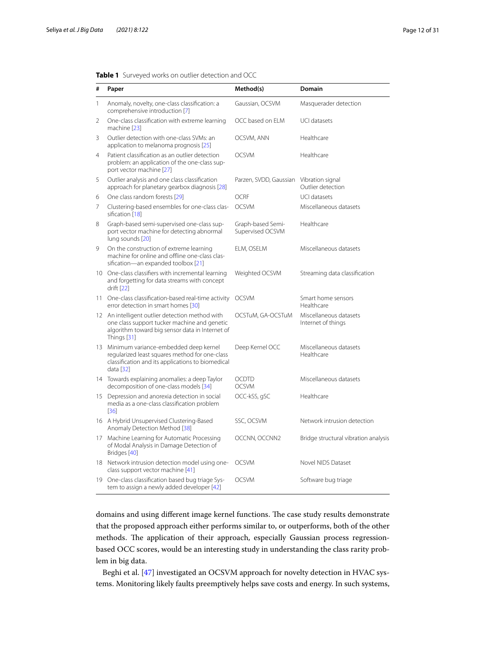| #              | Paper                                                                                                                                                             | Method(s)                               | <b>Domain</b>                                |
|----------------|-------------------------------------------------------------------------------------------------------------------------------------------------------------------|-----------------------------------------|----------------------------------------------|
| 1              | Anomaly, novelty, one-class classification: a<br>comprehensive introduction [7]                                                                                   | Gaussian, OCSVM                         | Masquerader detection                        |
| $\overline{2}$ | One-class classification with extreme learning<br>machine [23]                                                                                                    | OCC based on ELM                        | UCI datasets                                 |
| 3              | Outlier detection with one-class SVMs: an<br>application to melanoma prognosis [25]                                                                               | OCSVM, ANN                              | Healthcare                                   |
| $\overline{4}$ | Patient classification as an outlier detection<br>problem: an application of the one-class sup-<br>port vector machine [27]                                       | <b>OCSVM</b>                            | Healthcare                                   |
| 5              | Outlier analysis and one class classification<br>approach for planetary gearbox diagnosis [28]                                                                    | Parzen, SVDD, Gaussian Vibration signal | Outlier detection                            |
| 6              | One class random forests [29]                                                                                                                                     | <b>OCRF</b>                             | UCI datasets                                 |
| 7              | Clustering-based ensembles for one-class clas-<br>sification [18]                                                                                                 | <b>OCSVM</b>                            | Miscellaneous datasets                       |
| 8              | Graph-based semi-supervised one-class sup-<br>port vector machine for detecting abnormal<br>lung sounds [20]                                                      | Graph-based Semi-<br>Supervised OCSVM   | Healthcare                                   |
| 9              | On the construction of extreme learning<br>machine for online and offline one-class clas-<br>sification-an expanded toolbox [21]                                  | ELM, OSELM                              | Miscellaneous datasets                       |
|                | 10 One-class classifiers with incremental learning<br>and forgetting for data streams with concept<br>drift [22]                                                  | Weighted OCSVM                          | Streaming data classification                |
|                | 11 One-class classification-based real-time activity<br>error detection in smart homes [30]                                                                       | <b>OCSVM</b>                            | Smart home sensors<br>Healthcare             |
|                | 12 An intelligent outlier detection method with<br>one class support tucker machine and genetic<br>algorithm toward big sensor data in Internet of<br>Things [31] | OCSTuM, GA-OCSTuM                       | Miscellaneous datasets<br>Internet of things |
|                | 13 Minimum variance-embedded deep kernel<br>regularized least squares method for one-class<br>classification and its applications to biomedical<br>data [32]      | Deep Kernel OCC                         | Miscellaneous datasets<br>Healthcare         |
|                | 14 Towards explaining anomalies: a deep Taylor<br>decomposition of one-class models [34]                                                                          | <b>OCDTD</b><br><b>OCSVM</b>            | Miscellaneous datasets                       |
|                | 15 Depression and anorexia detection in social<br>media as a one-class classification problem<br>$[36]$                                                           | OCC-kSS, gSC                            | Healthcare                                   |
|                | 16 A Hybrid Unsupervised Clustering-Based<br>Anomaly Detection Method [38]                                                                                        | SSC, OCSVM                              | Network intrusion detection                  |
|                | 17 Machine Learning for Automatic Processing<br>of Modal Analysis in Damage Detection of<br>Bridges [40]                                                          | OCCNN, OCCNN2                           | Bridge structural vibration analysis         |
|                | 18 Network intrusion detection model using one-<br>class support vector machine [41]                                                                              | <b>OCSVM</b>                            | Novel NIDS Dataset                           |
|                | 19 One-class classification based bug triage Sys-<br>tem to assign a newly added developer [42]                                                                   | <b>OCSVM</b>                            | Software bug triage                          |

<span id="page-11-0"></span>

domains and using different image kernel functions. The case study results demonstrate that the proposed approach either performs similar to, or outperforms, both of the other methods. The application of their approach, especially Gaussian process regressionbased OCC scores, would be an interesting study in understanding the class rarity problem in big data.

Beghi et al. [\[47](#page-29-2)] investigated an OCSVM approach for novelty detection in HVAC systems. Monitoring likely faults preemptively helps save costs and energy. In such systems,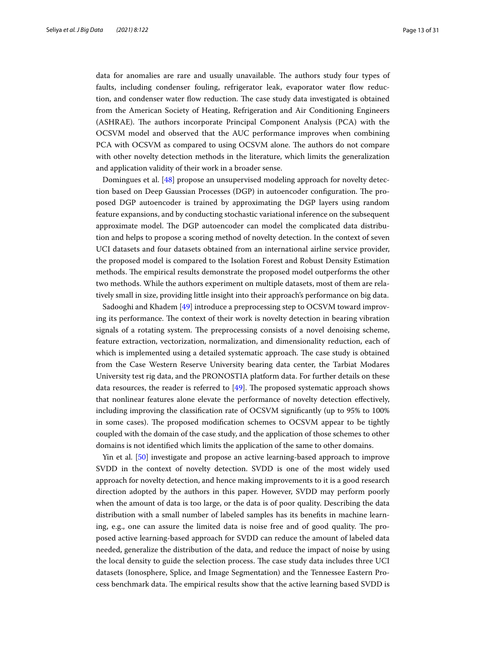data for anomalies are rare and usually unavailable. The authors study four types of faults, including condenser fouling, refrigerator leak, evaporator water fow reduction, and condenser water flow reduction. The case study data investigated is obtained from the American Society of Heating, Refrigeration and Air Conditioning Engineers (ASHRAE). The authors incorporate Principal Component Analysis (PCA) with the OCSVM model and observed that the AUC performance improves when combining PCA with OCSVM as compared to using OCSVM alone. The authors do not compare with other novelty detection methods in the literature, which limits the generalization and application validity of their work in a broader sense.

Domingues et al. [\[48](#page-29-3)] propose an unsupervised modeling approach for novelty detection based on Deep Gaussian Processes (DGP) in autoencoder configuration. The proposed DGP autoencoder is trained by approximating the DGP layers using random feature expansions, and by conducting stochastic variational inference on the subsequent approximate model. The DGP autoencoder can model the complicated data distribution and helps to propose a scoring method of novelty detection. In the context of seven UCI datasets and four datasets obtained from an international airline service provider, the proposed model is compared to the Isolation Forest and Robust Density Estimation methods. The empirical results demonstrate the proposed model outperforms the other two methods. While the authors experiment on multiple datasets, most of them are relatively small in size, providing little insight into their approach's performance on big data.

Sadooghi and Khadem [\[49\]](#page-29-4) introduce a preprocessing step to OCSVM toward improving its performance. The context of their work is novelty detection in bearing vibration signals of a rotating system. The preprocessing consists of a novel denoising scheme, feature extraction, vectorization, normalization, and dimensionality reduction, each of which is implemented using a detailed systematic approach. The case study is obtained from the Case Western Reserve University bearing data center, the Tarbiat Modares University test rig data, and the PRONOSTIA platform data. For further details on these data resources, the reader is referred to  $[49]$  $[49]$  $[49]$ . The proposed systematic approach shows that nonlinear features alone elevate the performance of novelty detection efectively, including improving the classifcation rate of OCSVM signifcantly (up to 95% to 100% in some cases). The proposed modification schemes to OCSVM appear to be tightly coupled with the domain of the case study, and the application of those schemes to other domains is not identifed which limits the application of the same to other domains.

Yin et al. [\[50\]](#page-29-5) investigate and propose an active learning-based approach to improve SVDD in the context of novelty detection. SVDD is one of the most widely used approach for novelty detection, and hence making improvements to it is a good research direction adopted by the authors in this paper. However, SVDD may perform poorly when the amount of data is too large, or the data is of poor quality. Describing the data distribution with a small number of labeled samples has its benefts in machine learning, e.g., one can assure the limited data is noise free and of good quality. The proposed active learning-based approach for SVDD can reduce the amount of labeled data needed, generalize the distribution of the data, and reduce the impact of noise by using the local density to guide the selection process. The case study data includes three UCI datasets (Ionosphere, Splice, and Image Segmentation) and the Tennessee Eastern Process benchmark data. The empirical results show that the active learning based SVDD is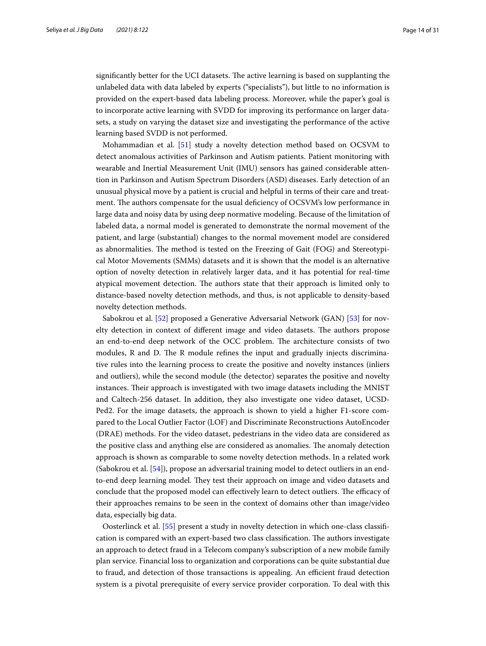significantly better for the UCI datasets. The active learning is based on supplanting the unlabeled data with data labeled by experts ("specialists"), but little to no information is provided on the expert-based data labeling process. Moreover, while the paper's goal is to incorporate active learning with SVDD for improving its performance on larger datasets, a study on varying the dataset size and investigating the performance of the active learning based SVDD is not performed.

Mohammadian et al. [\[51](#page-29-6)] study a novelty detection method based on OCSVM to detect anomalous activities of Parkinson and Autism patients. Patient monitoring with wearable and Inertial Measurement Unit (IMU) sensors has gained considerable attention in Parkinson and Autism Spectrum Disorders (ASD) diseases. Early detection of an unusual physical move by a patient is crucial and helpful in terms of their care and treatment. The authors compensate for the usual deficiency of OCSVM's low performance in large data and noisy data by using deep normative modeling. Because of the limitation of labeled data, a normal model is generated to demonstrate the normal movement of the patient, and large (substantial) changes to the normal movement model are considered as abnormalities. The method is tested on the Freezing of Gait (FOG) and Stereotypical Motor Movements (SMMs) datasets and it is shown that the model is an alternative option of novelty detection in relatively larger data, and it has potential for real-time atypical movement detection. The authors state that their approach is limited only to distance-based novelty detection methods, and thus, is not applicable to density-based novelty detection methods.

Sabokrou et al. [\[52](#page-29-7)] proposed a Generative Adversarial Network (GAN) [\[53](#page-29-8)] for novelty detection in context of different image and video datasets. The authors propose an end-to-end deep network of the OCC problem. The architecture consists of two modules,  $R$  and  $D$ . The  $R$  module refines the input and gradually injects discriminative rules into the learning process to create the positive and novelty instances (inliers and outliers), while the second module (the detector) separates the positive and novelty instances. Their approach is investigated with two image datasets including the MNIST and Caltech-256 dataset. In addition, they also investigate one video dataset, UCSD-Ped2. For the image datasets, the approach is shown to yield a higher F1-score compared to the Local Outlier Factor (LOF) and Discriminate Reconstructions AutoEncoder (DRAE) methods. For the video dataset, pedestrians in the video data are considered as the positive class and anything else are considered as anomalies. The anomaly detection approach is shown as comparable to some novelty detection methods. In a related work (Sabokrou et al. [\[54\]](#page-29-9)), propose an adversarial training model to detect outliers in an endto-end deep learning model. They test their approach on image and video datasets and conclude that the proposed model can effectively learn to detect outliers. The efficacy of their approaches remains to be seen in the context of domains other than image/video data, especially big data.

Oosterlinck et al. [\[55](#page-29-10)] present a study in novelty detection in which one-class classifcation is compared with an expert-based two class classification. The authors investigate an approach to detect fraud in a Telecom company's subscription of a new mobile family plan service. Financial loss to organization and corporations can be quite substantial due to fraud, and detection of those transactions is appealing. An efficient fraud detection system is a pivotal prerequisite of every service provider corporation. To deal with this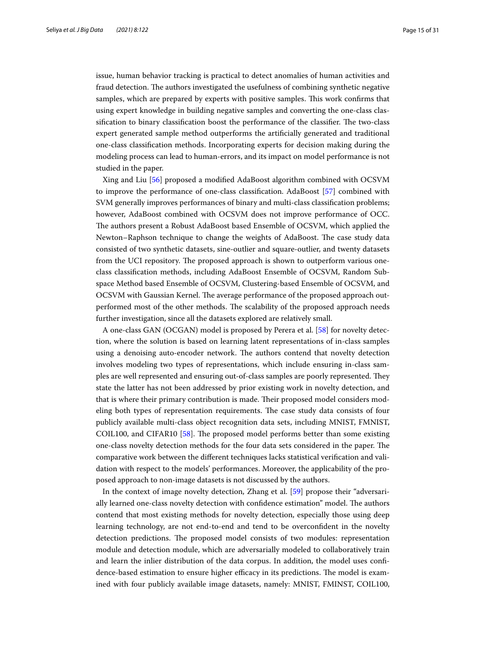issue, human behavior tracking is practical to detect anomalies of human activities and fraud detection. The authors investigated the usefulness of combining synthetic negative samples, which are prepared by experts with positive samples. This work confirms that using expert knowledge in building negative samples and converting the one-class classification to binary classification boost the performance of the classifier. The two-class expert generated sample method outperforms the artifcially generated and traditional one-class classifcation methods. Incorporating experts for decision making during the modeling process can lead to human-errors, and its impact on model performance is not studied in the paper.

Xing and Liu [\[56\]](#page-29-11) proposed a modifed AdaBoost algorithm combined with OCSVM to improve the performance of one-class classifcation. AdaBoost [\[57](#page-29-12)] combined with SVM generally improves performances of binary and multi-class classifcation problems; however, AdaBoost combined with OCSVM does not improve performance of OCC. The authors present a Robust AdaBoost based Ensemble of OCSVM, which applied the Newton–Raphson technique to change the weights of AdaBoost. The case study data consisted of two synthetic datasets, sine-outlier and square-outlier, and twenty datasets from the UCI repository. The proposed approach is shown to outperform various oneclass classifcation methods, including AdaBoost Ensemble of OCSVM, Random Subspace Method based Ensemble of OCSVM, Clustering-based Ensemble of OCSVM, and OCSVM with Gaussian Kernel. The average performance of the proposed approach outperformed most of the other methods. The scalability of the proposed approach needs further investigation, since all the datasets explored are relatively small.

A one-class GAN (OCGAN) model is proposed by Perera et al. [[58\]](#page-29-13) for novelty detection, where the solution is based on learning latent representations of in-class samples using a denoising auto-encoder network. The authors contend that novelty detection involves modeling two types of representations, which include ensuring in-class samples are well represented and ensuring out-of-class samples are poorly represented. They state the latter has not been addressed by prior existing work in novelty detection, and that is where their primary contribution is made. Their proposed model considers modeling both types of representation requirements. The case study data consists of four publicly available multi-class object recognition data sets, including MNIST, FMNIST, COIL100, and CIFAR10 [[58\]](#page-29-13). The proposed model performs better than some existing one-class novelty detection methods for the four data sets considered in the paper. The comparative work between the diferent techniques lacks statistical verifcation and validation with respect to the models' performances. Moreover, the applicability of the proposed approach to non-image datasets is not discussed by the authors.

In the context of image novelty detection, Zhang et al. [[59\]](#page-29-14) propose their "adversarially learned one-class novelty detection with confidence estimation" model. The authors contend that most existing methods for novelty detection, especially those using deep learning technology, are not end-to-end and tend to be overconfdent in the novelty detection predictions. The proposed model consists of two modules: representation module and detection module, which are adversarially modeled to collaboratively train and learn the inlier distribution of the data corpus. In addition, the model uses confdence-based estimation to ensure higher efficacy in its predictions. The model is examined with four publicly available image datasets, namely: MNIST, FMINST, COIL100,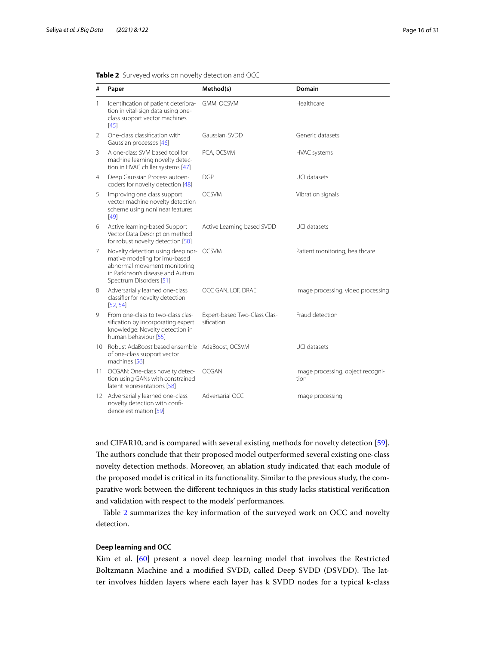| #               | Paper                                                                                                                                                              | Method(s)                                  | <b>Domain</b>                             |  |
|-----------------|--------------------------------------------------------------------------------------------------------------------------------------------------------------------|--------------------------------------------|-------------------------------------------|--|
| $\mathbf{1}$    | Identification of patient deteriora-<br>tion in vital-sign data using one-<br>class support vector machines<br>$[45]$                                              | GMM, OCSVM                                 | Healthcare                                |  |
| 2               | One-class classification with<br>Gaussian processes [46]                                                                                                           | Gaussian, SVDD                             | Generic datasets                          |  |
| 3               | A one-class SVM based tool for<br>machine learning novelty detec-<br>tion in HVAC chiller systems [47]                                                             | PCA, OCSVM                                 | <b>HVAC</b> systems                       |  |
| 4               | Deep Gaussian Process autoen-<br>coders for novelty detection [48]                                                                                                 | DGP                                        | UCI datasets                              |  |
| 5               | Improving one class support<br>vector machine novelty detection<br>scheme using nonlinear features<br>$[49]$                                                       | <b>OCSVM</b>                               | Vibration signals                         |  |
| 6               | Active learning-based Support<br>Vector Data Description method<br>for robust novelty detection [50]                                                               | Active Learning based SVDD                 | <b>UCI datasets</b>                       |  |
| 7               | Novelty detection using deep nor-<br>mative modeling for imu-based<br>abnormal movement monitoring<br>in Parkinson's disease and Autism<br>Spectrum Disorders [51] | <b>OCSVM</b>                               | Patient monitoring, healthcare            |  |
| 8               | Adversarially learned one-class<br>classifier for novelty detection<br>[52, 54]                                                                                    | OCC GAN, LOF, DRAE                         | Image processing, video processing        |  |
| 9               | From one-class to two-class clas-<br>sification by incorporating expert<br>knowledge: Novelty detection in<br>human behaviour [55]                                 | Expert-based Two-Class Clas-<br>sification | Fraud detection                           |  |
| $10-10$         | Robust AdaBoost based ensemble AdaBoost, OCSVM<br>of one-class support vector<br>machines [56]                                                                     |                                            | <b>UCI datasets</b>                       |  |
| 11 <sup>1</sup> | OCGAN: One-class novelty detec-<br>tion using GANs with constrained<br>latent representations [58]                                                                 | OCGAN                                      | Image processing, object recogni-<br>tion |  |
| 12 <sup>°</sup> | Adversarially learned one-class<br>novelty detection with confi-<br>dence estimation [59]                                                                          | Adversarial OCC                            | Image processing                          |  |

<span id="page-15-0"></span>

|  | <b>Table 2</b> Surveyed works on novelty detection and OCC |  |  |  |  |
|--|------------------------------------------------------------|--|--|--|--|
|--|------------------------------------------------------------|--|--|--|--|

and CIFAR10, and is compared with several existing methods for novelty detection [\[59](#page-29-14)]. The authors conclude that their proposed model outperformed several existing one-class novelty detection methods. Moreover, an ablation study indicated that each module of the proposed model is critical in its functionality. Similar to the previous study, the comparative work between the diferent techniques in this study lacks statistical verifcation and validation with respect to the models' performances.

Table [2](#page-15-0) summarizes the key information of the surveyed work on OCC and novelty detection.

## **Deep learning and OCC**

Kim et al. [\[60\]](#page-29-15) present a novel deep learning model that involves the Restricted Boltzmann Machine and a modified SVDD, called Deep SVDD (DSVDD). The latter involves hidden layers where each layer has k SVDD nodes for a typical k-class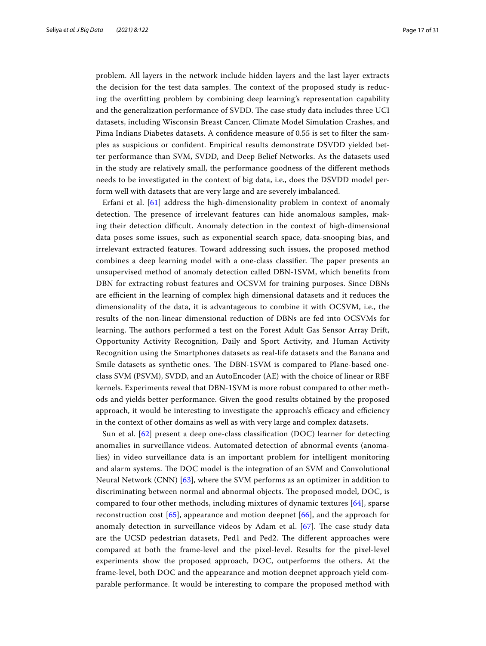problem. All layers in the network include hidden layers and the last layer extracts the decision for the test data samples. The context of the proposed study is reducing the overftting problem by combining deep learning's representation capability and the generalization performance of SVDD. The case study data includes three UCI datasets, including Wisconsin Breast Cancer, Climate Model Simulation Crashes, and Pima Indians Diabetes datasets. A confdence measure of 0.55 is set to flter the samples as suspicious or confdent. Empirical results demonstrate DSVDD yielded better performance than SVM, SVDD, and Deep Belief Networks. As the datasets used in the study are relatively small, the performance goodness of the diferent methods needs to be investigated in the context of big data, i.e., does the DSVDD model perform well with datasets that are very large and are severely imbalanced.

Erfani et al.  $[61]$  $[61]$  $[61]$  address the high-dimensionality problem in context of anomaly detection. The presence of irrelevant features can hide anomalous samples, making their detection difcult. Anomaly detection in the context of high-dimensional data poses some issues, such as exponential search space, data-snooping bias, and irrelevant extracted features. Toward addressing such issues, the proposed method combines a deep learning model with a one-class classifier. The paper presents an unsupervised method of anomaly detection called DBN-1SVM, which benefts from DBN for extracting robust features and OCSVM for training purposes. Since DBNs are efficient in the learning of complex high dimensional datasets and it reduces the dimensionality of the data, it is advantageous to combine it with OCSVM, i.e., the results of the non-linear dimensional reduction of DBNs are fed into OCSVMs for learning. The authors performed a test on the Forest Adult Gas Sensor Array Drift, Opportunity Activity Recognition, Daily and Sport Activity, and Human Activity Recognition using the Smartphones datasets as real-life datasets and the Banana and Smile datasets as synthetic ones. The DBN-1SVM is compared to Plane-based oneclass SVM (PSVM), SVDD, and an AutoEncoder (AE) with the choice of linear or RBF kernels. Experiments reveal that DBN-1SVM is more robust compared to other methods and yields better performance. Given the good results obtained by the proposed approach, it would be interesting to investigate the approach's efficacy and efficiency in the context of other domains as well as with very large and complex datasets.

Sun et al. [[62](#page-29-17)] present a deep one-class classifcation (DOC) learner for detecting anomalies in surveillance videos. Automated detection of abnormal events (anomalies) in video surveillance data is an important problem for intelligent monitoring and alarm systems. The DOC model is the integration of an SVM and Convolutional Neural Network (CNN) [[63](#page-29-18)], where the SVM performs as an optimizer in addition to discriminating between normal and abnormal objects. The proposed model, DOC, is compared to four other methods, including mixtures of dynamic textures [[64\]](#page-29-19), sparse reconstruction cost [[65\]](#page-29-20), appearance and motion deepnet [\[66](#page-29-21)], and the approach for anomaly detection in surveillance videos by Adam et al.  $[67]$ . The case study data are the UCSD pedestrian datasets, Ped1 and Ped2. The different approaches were compared at both the frame-level and the pixel-level. Results for the pixel-level experiments show the proposed approach, DOC, outperforms the others. At the frame-level, both DOC and the appearance and motion deepnet approach yield comparable performance. It would be interesting to compare the proposed method with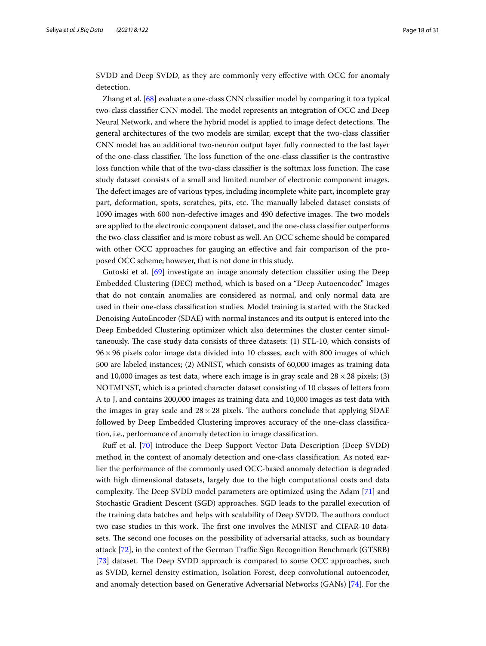SVDD and Deep SVDD, as they are commonly very efective with OCC for anomaly detection.

Zhang et al. [[68\]](#page-29-23) evaluate a one-class CNN classifer model by comparing it to a typical two-class classifier CNN model. The model represents an integration of OCC and Deep Neural Network, and where the hybrid model is applied to image defect detections. The general architectures of the two models are similar, except that the two-class classifer CNN model has an additional two-neuron output layer fully connected to the last layer of the one-class classifier. The loss function of the one-class classifier is the contrastive loss function while that of the two-class classifier is the softmax loss function. The case study dataset consists of a small and limited number of electronic component images. The defect images are of various types, including incomplete white part, incomplete gray part, deformation, spots, scratches, pits, etc. The manually labeled dataset consists of 1090 images with 600 non-defective images and 490 defective images. The two models are applied to the electronic component dataset, and the one-class classifer outperforms the two-class classifer and is more robust as well. An OCC scheme should be compared with other OCC approaches for gauging an efective and fair comparison of the proposed OCC scheme; however, that is not done in this study.

Gutoski et al. [[69\]](#page-29-24) investigate an image anomaly detection classifer using the Deep Embedded Clustering (DEC) method, which is based on a "Deep Autoencoder." Images that do not contain anomalies are considered as normal, and only normal data are used in their one-class classifcation studies. Model training is started with the Stacked Denoising AutoEncoder (SDAE) with normal instances and its output is entered into the Deep Embedded Clustering optimizer which also determines the cluster center simultaneously. The case study data consists of three datasets:  $(1)$  STL-10, which consists of  $96 \times 96$  pixels color image data divided into 10 classes, each with 800 images of which 500 are labeled instances; (2) MNIST, which consists of 60,000 images as training data and 10,000 images as test data, where each image is in gray scale and  $28 \times 28$  pixels; (3) NOTMINST, which is a printed character dataset consisting of 10 classes of letters from A to J, and contains 200,000 images as training data and 10,000 images as test data with the images in gray scale and  $28 \times 28$  pixels. The authors conclude that applying SDAE followed by Deep Embedded Clustering improves accuracy of the one-class classifcation, i.e., performance of anomaly detection in image classifcation.

Ruf et al. [\[70\]](#page-29-25) introduce the Deep Support Vector Data Description (Deep SVDD) method in the context of anomaly detection and one-class classifcation. As noted earlier the performance of the commonly used OCC-based anomaly detection is degraded with high dimensional datasets, largely due to the high computational costs and data complexity. The Deep SVDD model parameters are optimized using the Adam [[71\]](#page-29-26) and Stochastic Gradient Descent (SGD) approaches. SGD leads to the parallel execution of the training data batches and helps with scalability of Deep SVDD. The authors conduct two case studies in this work. The first one involves the MNIST and CIFAR-10 datasets. The second one focuses on the possibility of adversarial attacks, such as boundary attack [\[72\]](#page-29-27), in the context of the German Traffic Sign Recognition Benchmark (GTSRB) [[73\]](#page-29-28) dataset. The Deep SVDD approach is compared to some OCC approaches, such as SVDD, kernel density estimation, Isolation Forest, deep convolutional autoencoder, and anomaly detection based on Generative Adversarial Networks (GANs) [\[74](#page-29-29)]. For the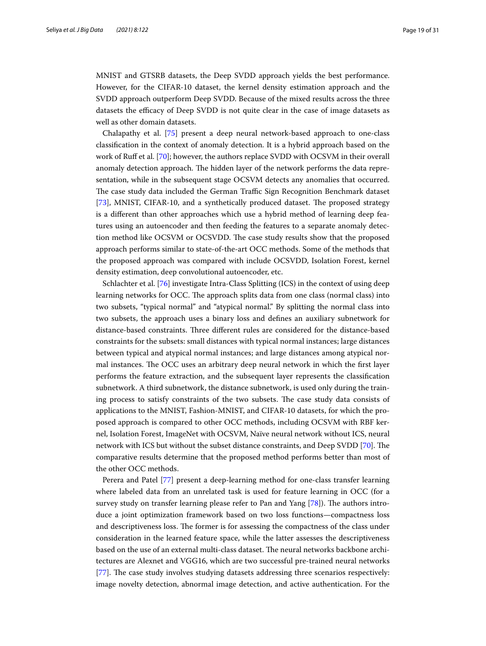MNIST and GTSRB datasets, the Deep SVDD approach yields the best performance. However, for the CIFAR-10 dataset, the kernel density estimation approach and the SVDD approach outperform Deep SVDD. Because of the mixed results across the three datasets the efficacy of Deep SVDD is not quite clear in the case of image datasets as well as other domain datasets.

Chalapathy et al. [[75\]](#page-29-30) present a deep neural network-based approach to one-class classifcation in the context of anomaly detection. It is a hybrid approach based on the work of Ruf et al. [[70\]](#page-29-25); however, the authors replace SVDD with OCSVM in their overall anomaly detection approach. The hidden layer of the network performs the data representation, while in the subsequent stage OCSVM detects any anomalies that occurred. The case study data included the German Traffic Sign Recognition Benchmark dataset [[73\]](#page-29-28), MNIST, CIFAR-10, and a synthetically produced dataset. The proposed strategy is a diferent than other approaches which use a hybrid method of learning deep features using an autoencoder and then feeding the features to a separate anomaly detection method like OCSVM or OCSVDD. The case study results show that the proposed approach performs similar to state-of-the-art OCC methods. Some of the methods that the proposed approach was compared with include OCSVDD, Isolation Forest, kernel density estimation, deep convolutional autoencoder, etc.

Schlachter et al. [[76\]](#page-29-31) investigate Intra-Class Splitting (ICS) in the context of using deep learning networks for OCC. The approach splits data from one class (normal class) into two subsets, "typical normal" and "atypical normal." By splitting the normal class into two subsets, the approach uses a binary loss and defnes an auxiliary subnetwork for distance-based constraints. Three different rules are considered for the distance-based constraints for the subsets: small distances with typical normal instances; large distances between typical and atypical normal instances; and large distances among atypical normal instances. The OCC uses an arbitrary deep neural network in which the first layer performs the feature extraction, and the subsequent layer represents the classifcation subnetwork. A third subnetwork, the distance subnetwork, is used only during the training process to satisfy constraints of the two subsets. The case study data consists of applications to the MNIST, Fashion-MNIST, and CIFAR-10 datasets, for which the proposed approach is compared to other OCC methods, including OCSVM with RBF kernel, Isolation Forest, ImageNet with OCSVM, Naïve neural network without ICS, neural network with ICS but without the subset distance constraints, and Deep SVDD [[70\]](#page-29-25). The comparative results determine that the proposed method performs better than most of the other OCC methods.

Perera and Patel [[77\]](#page-29-32) present a deep-learning method for one-class transfer learning where labeled data from an unrelated task is used for feature learning in OCC (for a survey study on transfer learning please refer to Pan and Yang  $[78]$  $[78]$  $[78]$ ). The authors introduce a joint optimization framework based on two loss functions—compactness loss and descriptiveness loss. The former is for assessing the compactness of the class under consideration in the learned feature space, while the latter assesses the descriptiveness based on the use of an external multi-class dataset. The neural networks backbone architectures are Alexnet and VGG16, which are two successful pre-trained neural networks [[77\]](#page-29-32). The case study involves studying datasets addressing three scenarios respectively: image novelty detection, abnormal image detection, and active authentication. For the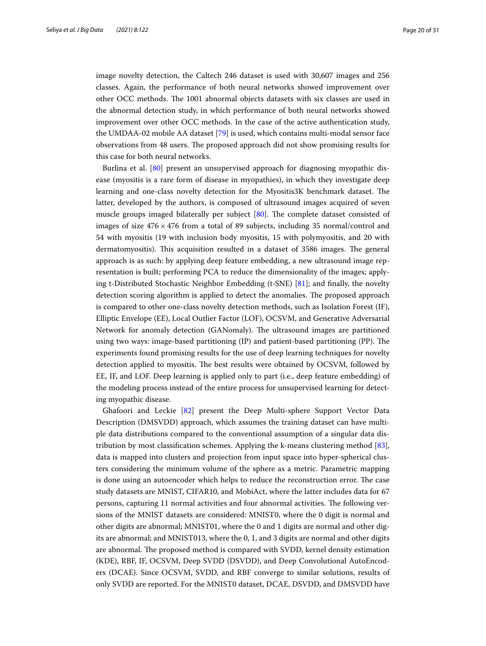image novelty detection, the Caltech 246 dataset is used with 30,607 images and 256 classes. Again, the performance of both neural networks showed improvement over other OCC methods. The 1001 abnormal objects datasets with six classes are used in the abnormal detection study, in which performance of both neural networks showed improvement over other OCC methods. In the case of the active authentication study, the UMDAA-02 mobile AA dataset [\[79](#page-29-34)] is used, which contains multi-modal sensor face observations from 48 users. The proposed approach did not show promising results for this case for both neural networks.

Burlina et al. [[80\]](#page-29-35) present an unsupervised approach for diagnosing myopathic disease (myositis is a rare form of disease in myopathies), in which they investigate deep learning and one-class novelty detection for the Myositis3K benchmark dataset. The latter, developed by the authors, is composed of ultrasound images acquired of seven muscle groups imaged bilaterally per subject [\[80\]](#page-29-35). The complete dataset consisted of images of size  $476 \times 476$  from a total of 89 subjects, including 35 normal/control and 54 with myositis (19 with inclusion body myositis, 15 with polymyositis, and 20 with dermatomyositis). This acquisition resulted in a dataset of 3586 images. The general approach is as such: by applying deep feature embedding, a new ultrasound image representation is built; performing PCA to reduce the dimensionality of the images; applying t-Distributed Stochastic Neighbor Embedding (t-SNE) [[81\]](#page-29-36); and fnally, the novelty detection scoring algorithm is applied to detect the anomalies. The proposed approach is compared to other one-class novelty detection methods, such as Isolation Forest (IF), Elliptic Envelope (EE), Local Outlier Factor (LOF), OCSVM, and Generative Adversarial Network for anomaly detection (GANomaly). The ultrasound images are partitioned using two ways: image-based partitioning (IP) and patient-based partitioning (PP). The experiments found promising results for the use of deep learning techniques for novelty detection applied to myositis. The best results were obtained by OCSVM, followed by EE, IF, and LOF. Deep learning is applied only to part (i.e., deep feature embedding) of the modeling process instead of the entire process for unsupervised learning for detecting myopathic disease.

Ghafoori and Leckie [\[82\]](#page-30-0) present the Deep Multi-sphere Support Vector Data Description (DMSVDD) approach, which assumes the training dataset can have multiple data distributions compared to the conventional assumption of a singular data distribution by most classifcation schemes. Applying the k-means clustering method [\[83](#page-30-1)], data is mapped into clusters and projection from input space into hyper-spherical clusters considering the minimum volume of the sphere as a metric. Parametric mapping is done using an autoencoder which helps to reduce the reconstruction error. The case study datasets are MNIST, CIFAR10, and MobiAct, where the latter includes data for 67 persons, capturing 11 normal activities and four abnormal activities. The following versions of the MNIST datasets are considered: MNIST0, where the 0 digit is normal and other digits are abnormal; MNIST01, where the 0 and 1 digits are normal and other digits are abnormal; and MNIST013, where the 0, 1, and 3 digits are normal and other digits are abnormal. The proposed method is compared with SVDD, kernel density estimation (KDE), RBF, IF, OCSVM, Deep SVDD (DSVDD), and Deep Convolutional AutoEncoders (DCAE). Since OCSVM, SVDD, and RBF converge to similar solutions, results of only SVDD are reported. For the MNIST0 dataset, DCAE, DSVDD, and DMSVDD have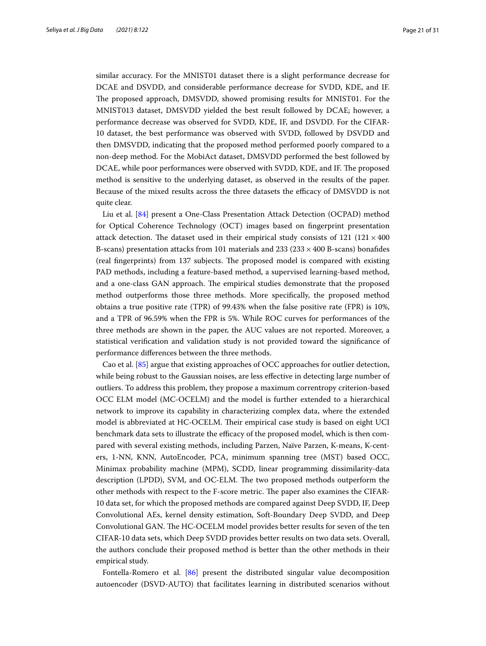similar accuracy. For the MNIST01 dataset there is a slight performance decrease for DCAE and DSVDD, and considerable performance decrease for SVDD, KDE, and IF. The proposed approach, DMSVDD, showed promising results for MNIST01. For the MNIST013 dataset, DMSVDD yielded the best result followed by DCAE; however, a performance decrease was observed for SVDD, KDE, IF, and DSVDD. For the CIFAR-10 dataset, the best performance was observed with SVDD, followed by DSVDD and then DMSVDD, indicating that the proposed method performed poorly compared to a non-deep method. For the MobiAct dataset, DMSVDD performed the best followed by DCAE, while poor performances were observed with SVDD, KDE, and IF. The proposed method is sensitive to the underlying dataset, as observed in the results of the paper. Because of the mixed results across the three datasets the efficacy of DMSVDD is not quite clear.

Liu et al. [\[84](#page-30-2)] present a One-Class Presentation Attack Detection (OCPAD) method for Optical Coherence Technology (OCT) images based on fngerprint presentation attack detection. The dataset used in their empirical study consists of 121 (121  $\times$  400 B-scans) presentation attacks from 101 materials and 233 ( $233 \times 400$  B-scans) bonafides (real fingerprints) from 137 subjects. The proposed model is compared with existing PAD methods, including a feature-based method, a supervised learning-based method, and a one-class GAN approach. The empirical studies demonstrate that the proposed method outperforms those three methods. More specifcally, the proposed method obtains a true positive rate (TPR) of 99.43% when the false positive rate (FPR) is 10%, and a TPR of 96.59% when the FPR is 5%. While ROC curves for performances of the three methods are shown in the paper, the AUC values are not reported. Moreover, a statistical verifcation and validation study is not provided toward the signifcance of performance diferences between the three methods.

Cao et al. [\[85\]](#page-30-3) argue that existing approaches of OCC approaches for outlier detection, while being robust to the Gaussian noises, are less efective in detecting large number of outliers. To address this problem, they propose a maximum correntropy criterion-based OCC ELM model (MC-OCELM) and the model is further extended to a hierarchical network to improve its capability in characterizing complex data, where the extended model is abbreviated at HC-OCELM. Their empirical case study is based on eight UCI benchmark data sets to illustrate the efficacy of the proposed model, which is then compared with several existing methods, including Parzen, Naïve Parzen, K-means, K-centers, 1-NN, KNN, AutoEncoder, PCA, minimum spanning tree (MST) based OCC, Minimax probability machine (MPM), SCDD, linear programming dissimilarity-data description (LPDD), SVM, and OC-ELM. The two proposed methods outperform the other methods with respect to the F-score metric. The paper also examines the CIFAR-10 data set, for which the proposed methods are compared against Deep SVDD, IF, Deep Convolutional AEs, kernel density estimation, Soft-Boundary Deep SVDD, and Deep Convolutional GAN. The HC-OCELM model provides better results for seven of the ten CIFAR-10 data sets, which Deep SVDD provides better results on two data sets. Overall, the authors conclude their proposed method is better than the other methods in their empirical study.

Fontella-Romero et al. [\[86\]](#page-30-4) present the distributed singular value decomposition autoencoder (DSVD-AUTO) that facilitates learning in distributed scenarios without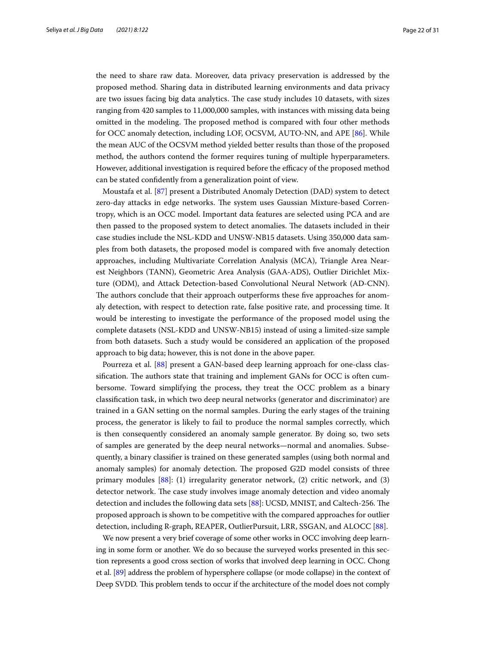the need to share raw data. Moreover, data privacy preservation is addressed by the proposed method. Sharing data in distributed learning environments and data privacy are two issues facing big data analytics. The case study includes 10 datasets, with sizes ranging from 420 samples to 11,000,000 samples, with instances with missing data being omitted in the modeling. The proposed method is compared with four other methods for OCC anomaly detection, including LOF, OCSVM, AUTO-NN, and APE [[86\]](#page-30-4). While the mean AUC of the OCSVM method yielded better results than those of the proposed method, the authors contend the former requires tuning of multiple hyperparameters. However, additional investigation is required before the efficacy of the proposed method can be stated confdently from a generalization point of view.

Moustafa et al. [\[87](#page-30-5)] present a Distributed Anomaly Detection (DAD) system to detect zero-day attacks in edge networks. The system uses Gaussian Mixture-based Correntropy, which is an OCC model. Important data features are selected using PCA and are then passed to the proposed system to detect anomalies. The datasets included in their case studies include the NSL-KDD and UNSW-NB15 datasets. Using 350,000 data samples from both datasets, the proposed model is compared with fve anomaly detection approaches, including Multivariate Correlation Analysis (MCA), Triangle Area Nearest Neighbors (TANN), Geometric Area Analysis (GAA-ADS), Outlier Dirichlet Mixture (ODM), and Attack Detection-based Convolutional Neural Network (AD-CNN). The authors conclude that their approach outperforms these five approaches for anomaly detection, with respect to detection rate, false positive rate, and processing time. It would be interesting to investigate the performance of the proposed model using the complete datasets (NSL-KDD and UNSW-NB15) instead of using a limited-size sample from both datasets. Such a study would be considered an application of the proposed approach to big data; however, this is not done in the above paper.

Pourreza et al. [\[88\]](#page-30-6) present a GAN-based deep learning approach for one-class classification. The authors state that training and implement GANs for OCC is often cumbersome. Toward simplifying the process, they treat the OCC problem as a binary classifcation task, in which two deep neural networks (generator and discriminator) are trained in a GAN setting on the normal samples. During the early stages of the training process, the generator is likely to fail to produce the normal samples correctly, which is then consequently considered an anomaly sample generator. By doing so, two sets of samples are generated by the deep neural networks—normal and anomalies. Subsequently, a binary classifer is trained on these generated samples (using both normal and anomaly samples) for anomaly detection. The proposed G2D model consists of three primary modules [[88\]](#page-30-6): (1) irregularity generator network, (2) critic network, and (3) detector network. The case study involves image anomaly detection and video anomaly detection and includes the following data sets [[88\]](#page-30-6): UCSD, MNIST, and Caltech-256. The proposed approach is shown to be competitive with the compared approaches for outlier detection, including R-graph, REAPER, OutlierPursuit, LRR, SSGAN, and ALOCC [\[88](#page-30-6)].

We now present a very brief coverage of some other works in OCC involving deep learning in some form or another. We do so because the surveyed works presented in this section represents a good cross section of works that involved deep learning in OCC. Chong et al. [\[89](#page-30-7)] address the problem of hypersphere collapse (or mode collapse) in the context of Deep SVDD. This problem tends to occur if the architecture of the model does not comply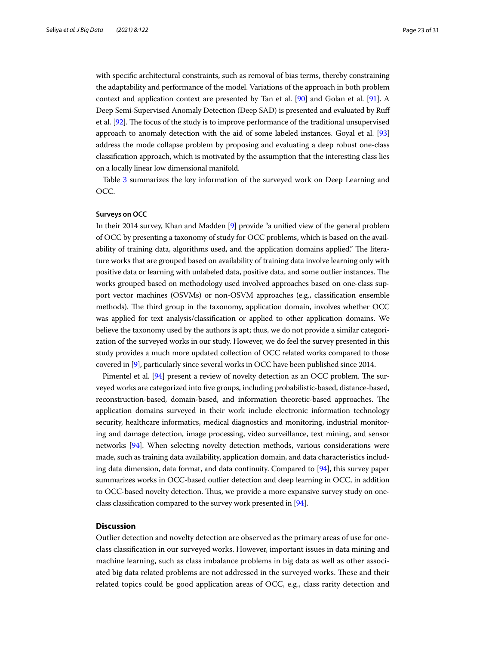with specifc architectural constraints, such as removal of bias terms, thereby constraining the adaptability and performance of the model. Variations of the approach in both problem context and application context are presented by Tan et al. [\[90\]](#page-30-8) and Golan et al. [[91](#page-30-9)]. A Deep Semi-Supervised Anomaly Detection (Deep SAD) is presented and evaluated by Ruf et al. [[92](#page-30-10)]. The focus of the study is to improve performance of the traditional unsupervised approach to anomaly detection with the aid of some labeled instances. Goyal et al. [\[93](#page-30-11)] address the mode collapse problem by proposing and evaluating a deep robust one-class classifcation approach, which is motivated by the assumption that the interesting class lies on a locally linear low dimensional manifold.

Table [3](#page-23-0) summarizes the key information of the surveyed work on Deep Learning and OCC.

#### **Surveys on OCC**

In their 2014 survey, Khan and Madden [\[9](#page-27-6)] provide "a unifed view of the general problem of OCC by presenting a taxonomy of study for OCC problems, which is based on the availability of training data, algorithms used, and the application domains applied." The literature works that are grouped based on availability of training data involve learning only with positive data or learning with unlabeled data, positive data, and some outlier instances. The works grouped based on methodology used involved approaches based on one-class support vector machines (OSVMs) or non-OSVM approaches (e.g., classifcation ensemble methods). The third group in the taxonomy, application domain, involves whether OCC was applied for text analysis/classifcation or applied to other application domains. We believe the taxonomy used by the authors is apt; thus, we do not provide a similar categorization of the surveyed works in our study. However, we do feel the survey presented in this study provides a much more updated collection of OCC related works compared to those covered in [\[9\]](#page-27-6), particularly since several works in OCC have been published since 2014.

Pimentel et al. [\[94\]](#page-30-12) present a review of novelty detection as an OCC problem. The surveyed works are categorized into fve groups, including probabilistic-based, distance-based, reconstruction-based, domain-based, and information theoretic-based approaches. The application domains surveyed in their work include electronic information technology security, healthcare informatics, medical diagnostics and monitoring, industrial monitoring and damage detection, image processing, video surveillance, text mining, and sensor networks [[94](#page-30-12)]. When selecting novelty detection methods, various considerations were made, such as training data availability, application domain, and data characteristics including data dimension, data format, and data continuity. Compared to [\[94\]](#page-30-12), this survey paper summarizes works in OCC-based outlier detection and deep learning in OCC, in addition to OCC-based novelty detection. Tus, we provide a more expansive survey study on oneclass classifcation compared to the survey work presented in [\[94\]](#page-30-12).

## <span id="page-22-0"></span>**Discussion**

Outlier detection and novelty detection are observed as the primary areas of use for oneclass classifcation in our surveyed works. However, important issues in data mining and machine learning, such as class imbalance problems in big data as well as other associated big data related problems are not addressed in the surveyed works. These and their related topics could be good application areas of OCC, e.g., class rarity detection and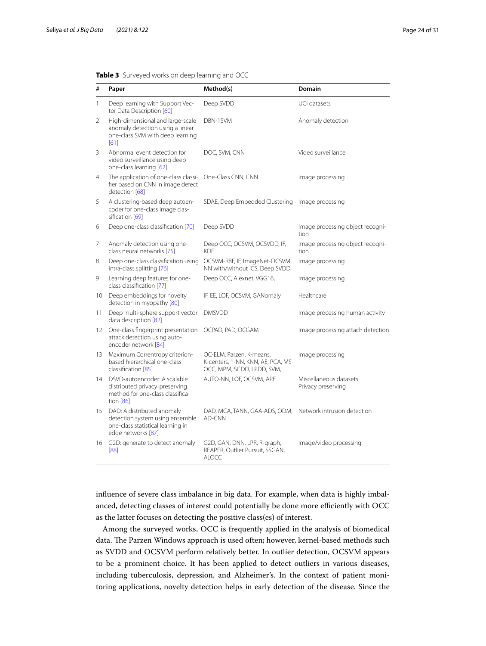| #  | Paper                                                                                                                    | Method(s)                                                                                    | Domain                                       |
|----|--------------------------------------------------------------------------------------------------------------------------|----------------------------------------------------------------------------------------------|----------------------------------------------|
| 1  | Deep learning with Support Vec-<br>tor Data Description [60]                                                             | Deep SVDD                                                                                    | <b>UCI datasets</b>                          |
| 2  | High-dimensional and large-scale<br>anomaly detection using a linear<br>one-class SVM with deep learning<br>[61]         | DBN-1SVM                                                                                     | Anomaly detection                            |
| 3  | Abnormal event detection for<br>video surveillance using deep<br>one-class learning [62]                                 | DOC, SVM, CNN                                                                                | Video surveillance                           |
| 4  | The application of one-class classi-<br>fier based on CNN in image defect<br>detection [68]                              | One-Class CNN, CNN                                                                           | Image processing                             |
| 5  | A clustering-based deep autoen-<br>coder for one-class image clas-<br>sification [69]                                    | SDAE, Deep Embedded Clustering                                                               | Image processing                             |
| 6  | Deep one-class classification [70]                                                                                       | Deep SVDD                                                                                    | Image processing object recogni-<br>tion     |
| 7  | Anomaly detection using one-<br>class neural networks [75]                                                               | Deep OCC, OCSVM, OCSVDD, IF,<br><b>KDE</b>                                                   | Image processing object recogni-<br>tion     |
| 8  | Deep one-class classification using<br>intra-class splitting [76]                                                        | OCSVM-RBF, IF, ImageNet-OCSVM,<br>NN with/without ICS, Deep SVDD                             | Image processing                             |
| 9  | Learning deep features for one-<br>class classification [77]                                                             | Deep OCC, Alexnet, VGG16,                                                                    | Image processing                             |
| 10 | Deep embeddings for novelty<br>detection in myopathy [80]                                                                | IF, EE, LOF, OCSVM, GANomaly                                                                 | Healthcare                                   |
| 11 | Deep multi-sphere support vector<br>data description [82]                                                                | <b>DMSVDD</b>                                                                                | Image processing human activity              |
| 12 | One-class fingerprint presentation<br>attack detection using auto-<br>encoder network [84]                               | OCPAD, PAD, OCGAM                                                                            | Image processing attach detection            |
| 13 | Maximum Correntropy criterion-<br>based hierarchical one-class<br>classification [85]                                    | OC-ELM, Parzen, K-means,<br>K-centers, 1-NN, KNN, AE, PCA, MS-<br>OCC, MPM, SCDD, LPDD, SVM, | Image processing                             |
| 14 | DSVD-autoencoder: A scalable<br>distributed privacy-preserving<br>method for one-class classifica-<br>tion $[86]$        | AUTO-NN, LOF, OCSVM, APE                                                                     | Miscellaneous datasets<br>Privacy preserving |
| 15 | DAD: A distributed anomaly<br>detection system using ensemble<br>one-class statistical learning in<br>edge networks [87] | DAD, MCA, TANN, GAA-ADS, ODM,<br>AD-CNN                                                      | Network intrusion detection                  |
| 16 | G2D: generate to detect anomaly<br>[88]                                                                                  | G2D, GAN, DNN, LPR, R-graph,<br>REAPER, Outlier Pursuit, SSGAN,<br><b>ALOCC</b>              | Image/video processing                       |

<span id="page-23-0"></span>

|  | Table 3 Surveyed works on deep learning and OCC |  |  |  |  |
|--|-------------------------------------------------|--|--|--|--|
|--|-------------------------------------------------|--|--|--|--|

infuence of severe class imbalance in big data. For example, when data is highly imbalanced, detecting classes of interest could potentially be done more efficiently with OCC as the latter focuses on detecting the positive class(es) of interest.

Among the surveyed works, OCC is frequently applied in the analysis of biomedical data. The Parzen Windows approach is used often; however, kernel-based methods such as SVDD and OCSVM perform relatively better. In outlier detection, OCSVM appears to be a prominent choice. It has been applied to detect outliers in various diseases, including tuberculosis, depression, and Alzheimer's. In the context of patient monitoring applications, novelty detection helps in early detection of the disease. Since the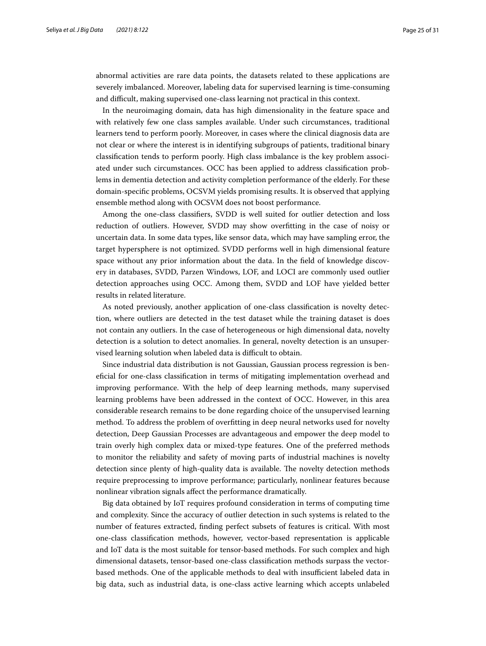abnormal activities are rare data points, the datasets related to these applications are severely imbalanced. Moreover, labeling data for supervised learning is time-consuming and difficult, making supervised one-class learning not practical in this context.

In the neuroimaging domain, data has high dimensionality in the feature space and with relatively few one class samples available. Under such circumstances, traditional learners tend to perform poorly. Moreover, in cases where the clinical diagnosis data are not clear or where the interest is in identifying subgroups of patients, traditional binary classifcation tends to perform poorly. High class imbalance is the key problem associated under such circumstances. OCC has been applied to address classifcation problems in dementia detection and activity completion performance of the elderly. For these domain-specifc problems, OCSVM yields promising results. It is observed that applying ensemble method along with OCSVM does not boost performance.

Among the one-class classifers, SVDD is well suited for outlier detection and loss reduction of outliers. However, SVDD may show overftting in the case of noisy or uncertain data. In some data types, like sensor data, which may have sampling error, the target hypersphere is not optimized. SVDD performs well in high dimensional feature space without any prior information about the data. In the feld of knowledge discovery in databases, SVDD, Parzen Windows, LOF, and LOCI are commonly used outlier detection approaches using OCC. Among them, SVDD and LOF have yielded better results in related literature.

As noted previously, another application of one-class classifcation is novelty detection, where outliers are detected in the test dataset while the training dataset is does not contain any outliers. In the case of heterogeneous or high dimensional data, novelty detection is a solution to detect anomalies. In general, novelty detection is an unsupervised learning solution when labeled data is difficult to obtain.

Since industrial data distribution is not Gaussian, Gaussian process regression is benefcial for one-class classifcation in terms of mitigating implementation overhead and improving performance. With the help of deep learning methods, many supervised learning problems have been addressed in the context of OCC. However, in this area considerable research remains to be done regarding choice of the unsupervised learning method. To address the problem of overftting in deep neural networks used for novelty detection, Deep Gaussian Processes are advantageous and empower the deep model to train overly high complex data or mixed-type features. One of the preferred methods to monitor the reliability and safety of moving parts of industrial machines is novelty detection since plenty of high-quality data is available. The novelty detection methods require preprocessing to improve performance; particularly, nonlinear features because nonlinear vibration signals afect the performance dramatically.

Big data obtained by IoT requires profound consideration in terms of computing time and complexity. Since the accuracy of outlier detection in such systems is related to the number of features extracted, fnding perfect subsets of features is critical. With most one-class classifcation methods, however, vector-based representation is applicable and IoT data is the most suitable for tensor-based methods. For such complex and high dimensional datasets, tensor-based one-class classifcation methods surpass the vectorbased methods. One of the applicable methods to deal with insufficient labeled data in big data, such as industrial data, is one-class active learning which accepts unlabeled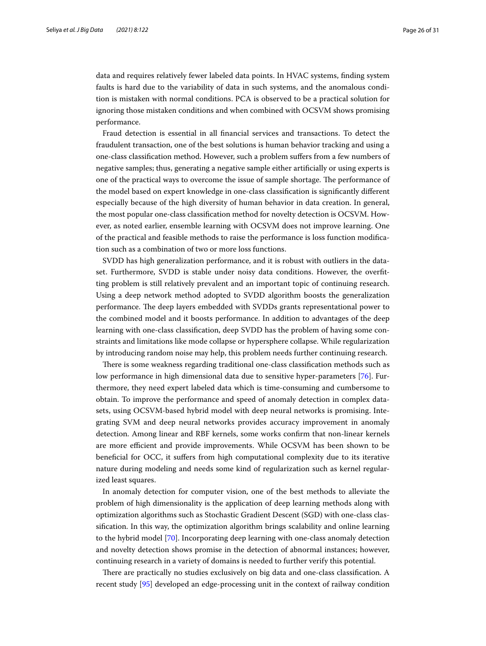data and requires relatively fewer labeled data points. In HVAC systems, fnding system faults is hard due to the variability of data in such systems, and the anomalous condition is mistaken with normal conditions. PCA is observed to be a practical solution for ignoring those mistaken conditions and when combined with OCSVM shows promising performance.

Fraud detection is essential in all fnancial services and transactions. To detect the fraudulent transaction, one of the best solutions is human behavior tracking and using a one-class classifcation method. However, such a problem sufers from a few numbers of negative samples; thus, generating a negative sample either artifcially or using experts is one of the practical ways to overcome the issue of sample shortage. The performance of the model based on expert knowledge in one-class classifcation is signifcantly diferent especially because of the high diversity of human behavior in data creation. In general, the most popular one-class classifcation method for novelty detection is OCSVM. However, as noted earlier, ensemble learning with OCSVM does not improve learning. One of the practical and feasible methods to raise the performance is loss function modifcation such as a combination of two or more loss functions.

SVDD has high generalization performance, and it is robust with outliers in the dataset. Furthermore, SVDD is stable under noisy data conditions. However, the overftting problem is still relatively prevalent and an important topic of continuing research. Using a deep network method adopted to SVDD algorithm boosts the generalization performance. The deep layers embedded with SVDDs grants representational power to the combined model and it boosts performance. In addition to advantages of the deep learning with one-class classifcation, deep SVDD has the problem of having some constraints and limitations like mode collapse or hypersphere collapse. While regularization by introducing random noise may help, this problem needs further continuing research.

There is some weakness regarding traditional one-class classification methods such as low performance in high dimensional data due to sensitive hyper-parameters [\[76\]](#page-29-31). Furthermore, they need expert labeled data which is time-consuming and cumbersome to obtain. To improve the performance and speed of anomaly detection in complex datasets, using OCSVM-based hybrid model with deep neural networks is promising. Integrating SVM and deep neural networks provides accuracy improvement in anomaly detection. Among linear and RBF kernels, some works confrm that non-linear kernels are more efficient and provide improvements. While OCSVM has been shown to be benefcial for OCC, it sufers from high computational complexity due to its iterative nature during modeling and needs some kind of regularization such as kernel regularized least squares.

In anomaly detection for computer vision, one of the best methods to alleviate the problem of high dimensionality is the application of deep learning methods along with optimization algorithms such as Stochastic Gradient Descent (SGD) with one-class classifcation. In this way, the optimization algorithm brings scalability and online learning to the hybrid model [[70\]](#page-29-25). Incorporating deep learning with one-class anomaly detection and novelty detection shows promise in the detection of abnormal instances; however, continuing research in a variety of domains is needed to further verify this potential.

There are practically no studies exclusively on big data and one-class classification. A recent study [\[95\]](#page-30-13) developed an edge-processing unit in the context of railway condition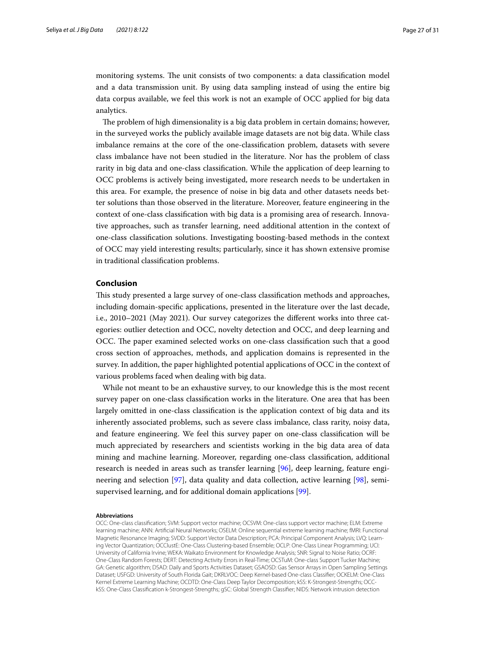monitoring systems. The unit consists of two components: a data classification model and a data transmission unit. By using data sampling instead of using the entire big data corpus available, we feel this work is not an example of OCC applied for big data analytics.

The problem of high dimensionality is a big data problem in certain domains; however, in the surveyed works the publicly available image datasets are not big data. While class imbalance remains at the core of the one-classifcation problem, datasets with severe class imbalance have not been studied in the literature. Nor has the problem of class rarity in big data and one-class classifcation. While the application of deep learning to OCC problems is actively being investigated, more research needs to be undertaken in this area. For example, the presence of noise in big data and other datasets needs better solutions than those observed in the literature. Moreover, feature engineering in the context of one-class classifcation with big data is a promising area of research. Innovative approaches, such as transfer learning, need additional attention in the context of one-class classifcation solutions. Investigating boosting-based methods in the context of OCC may yield interesting results; particularly, since it has shown extensive promise in traditional classifcation problems.

## <span id="page-26-0"></span>**Conclusion**

Tis study presented a large survey of one-class classifcation methods and approaches, including domain-specifc applications, presented in the literature over the last decade, i.e., 2010–2021 (May 2021). Our survey categorizes the diferent works into three categories: outlier detection and OCC, novelty detection and OCC, and deep learning and OCC. The paper examined selected works on one-class classification such that a good cross section of approaches, methods, and application domains is represented in the survey. In addition, the paper highlighted potential applications of OCC in the context of various problems faced when dealing with big data.

While not meant to be an exhaustive survey, to our knowledge this is the most recent survey paper on one-class classifcation works in the literature. One area that has been largely omitted in one-class classifcation is the application context of big data and its inherently associated problems, such as severe class imbalance, class rarity, noisy data, and feature engineering. We feel this survey paper on one-class classifcation will be much appreciated by researchers and scientists working in the big data area of data mining and machine learning. Moreover, regarding one-class classifcation, additional research is needed in areas such as transfer learning [[96\]](#page-30-14), deep learning, feature engineering and selection [\[97](#page-30-15)], data quality and data collection, active learning [\[98](#page-30-16)], semisupervised learning, and for additional domain applications [[99\]](#page-30-17).

#### **Abbreviations**

OCC: One-class classifcation; SVM: Support vector machine; OCSVM: One-class support vector machine; ELM: Extreme learning machine; ANN: Artifcial Neural Networks; OSELM: Online sequential extreme learning machine; fMRI: Functional Magnetic Resonance Imaging; SVDD: Support Vector Data Description; PCA: Principal Component Analysis; LVQ: Learning Vector Quantization; OCClustE: One-Class Clustering-based Ensemble; OCLP: One-Class Linear Programming; UCI: University of California Irvine; WEKA: Waikato Environment for Knowledge Analysis; SNR: Signal to Noise Ratio; OCRF: One-Class Random Forests; DERT: Detecting Activity Errors in Real-Time; OCSTuM: One-class Support Tucker Machine; GA: Genetic algorithm; DSAD: Daily and Sports Activities Dataset; GSAOSD: Gas Sensor Arrays in Open Sampling Settings Dataset; USFGD: University of South Florida Gait; DKRLVOC: Deep Kernel-based One-class Classifer; OCKELM: One-Class Kernel Extreme Learning Machine; OCDTD: One-Class Deep Taylor Decomposition; kSS: K-Strongest-Strengths; OCCkSS: One-Class Classifcation k-Strongest-Strengths; gSC: Global Strength Classifer; NIDS: Network intrusion detection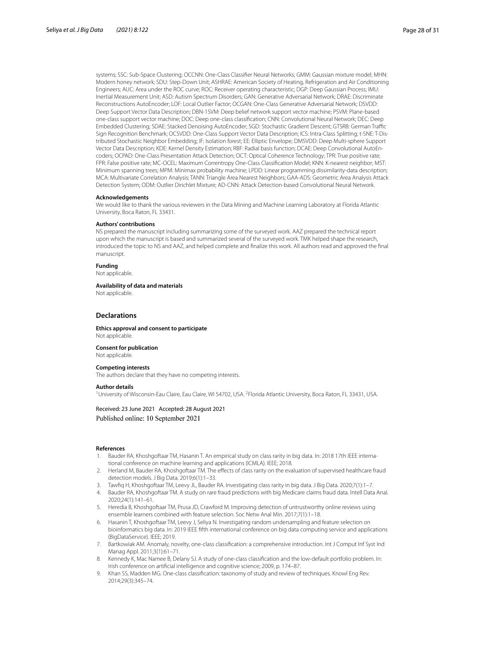systems; SSC: Sub-Space Clustering; OCCNN: One-Class Classifer Neural Networks; GMM: Gaussian mixture model; MHN: Modern honey network; SDU: Step-Down Unit; ASHRAE: American Society of Heating, Refrigeration and Air Conditioning Engineers; AUC: Area under the ROC curve; ROC: Receiver operating characteristic; DGP: Deep Gaussian Process; IMU: Inertial Measurement Unit; ASD: Autism Spectrum Disorders; GAN: Generative Adversarial Network; DRAE: Discriminate Reconstructions AutoEncoder; LOF: Local Outlier Factor; OCGAN: One-Class Generative Adversarial Network; DSVDD: Deep Support Vector Data Description; DBN-1SVM: Deep belief network support vector machine; PSVM: Plane-based one-class support vector machine; DOC: Deep one-class classifcation; CNN: Convolutional Neural Network; DEC: Deep Embedded Clustering; SDAE: Stacked Denoising AutoEncoder; SGD: Stochastic Gradient Descent; GTSRB: German Traffic Sign Recognition Benchmark; OCSVDD: One-Class Support Vector Data Description; ICS: Intra-Class Splitting; t-SNE: T-Distributed Stochastic Neighbor Embedding; IF: Isolation forest; EE: Elliptic Envelope; DMSVDD: Deep Multi-sphere Support Vector Data Description; KDE: Kernel Density Estimation; RBF: Radial basis function; DCAE: Deep Convolutional AutoEncoders; OCPAD: One-Class Presentation Attack Detection; OCT: Optical Coherence Technology; TPR: True positive rate; FPR: False positive rate; MC-OCEL: Maximum Correntropy One-Class Classifcation Model; KNN: K-nearest neighbor; MST: Minimum spanning trees; MPM: Minimax probability machine; LPDD: Linear programming dissimilarity-data description; MCA: Multivariate Correlation Analysis; TANN: Triangle Area Nearest Neighbors; GAA-ADS: Geometric Area Analysis Attack Detection System; ODM: Outlier Dirichlet Mixture; AD-CNN: Attack Detection-based Convolutional Neural Network.

#### **Acknowledgements**

We would like to thank the various reviewers in the Data Mining and Machine Learning Laboratory at Florida Atlantic University, Boca Raton, FL 33431.

#### **Authors' contributions**

NS prepared the manuscript including summarizing some of the surveyed work. AAZ prepared the technical report upon which the manuscript is based and summarized several of the surveyed work. TMK helped shape the research, introduced the topic to NS and AAZ, and helped complete and fnalize this work. All authors read and approved the fnal manuscript.

**Funding**

Not applicable.

**Availability of data and materials**

Not applicable.

#### **Declarations**

**Ethics approval and consent to participate** Not applicable.

**Consent for publication** Not applicable.

#### **Competing interests**

The authors declare that they have no competing interests.

#### **Author details**

<sup>1</sup>University of Wisconsin-Eau Claire, Eau Claire, WI 54702, USA. <sup>2</sup>Florida Atlantic University, Boca Raton, FL 33431, USA.

#### Received: 23 June 2021 Accepted: 28 August 2021 Published online: 10 September 2021

#### **References**

- <span id="page-27-0"></span>Bauder RA, Khoshgoftaar TM, Hasanin T. An empirical study on class rarity in big data. In: 2018 17th IEEE international conference on machine learning and applications (ICMLA). IEEE; 2018.
- 2. Herland M, Bauder RA, Khoshgoftaar TM. The efects of class rarity on the evaluation of supervised healthcare fraud detection models. J Big Data. 2019;6(1):1–33.
- 3. Tawfq H, Khoshgoftaar TM, Leevy JL, Bauder RA. Investigating class rarity in big data. J Big Data. 2020;7(1):1–7.
- <span id="page-27-1"></span>4. Bauder RA, Khoshgoftaar TM. A study on rare fraud predictions with big Medicare claims fraud data. Intell Data Anal. 2020;24(1):141–61.
- <span id="page-27-2"></span>5. Heredia B, Khoshgoftaar TM, Prusa JD, Crawford M. Improving detection of untrustworthy online reviews using ensemble learners combined with feature selection. Soc Netw Anal Min. 2017;7(1):1–18.
- <span id="page-27-3"></span>6. Hasanin T, Khoshgoftaar TM, Leevy J, Seliya N. Investigating random undersampling and feature selection on bioinformatics big data. In: 2019 IEEE ffth international conference on big data computing service and applications (BigDataService). IEEE; 2019.
- <span id="page-27-4"></span>7. Bartkowiak AM. Anomaly, novelty, one-class classifcation: a comprehensive introduction. Int J Comput Inf Syst Ind Manag Appl. 2011;3(1):61–71.
- <span id="page-27-5"></span>8. Kennedy K, Mac Namee B, Delany SJ. A study of one-class classification and the low-default portfolio problem. In: Irish conference on artifcial intelligence and cognitive science; 2009, p. 174–87.
- <span id="page-27-6"></span>9. Khan SS, Madden MG. One-class classifcation: taxonomy of study and review of techniques. Knowl Eng Rev. 2014;29(3):345–74.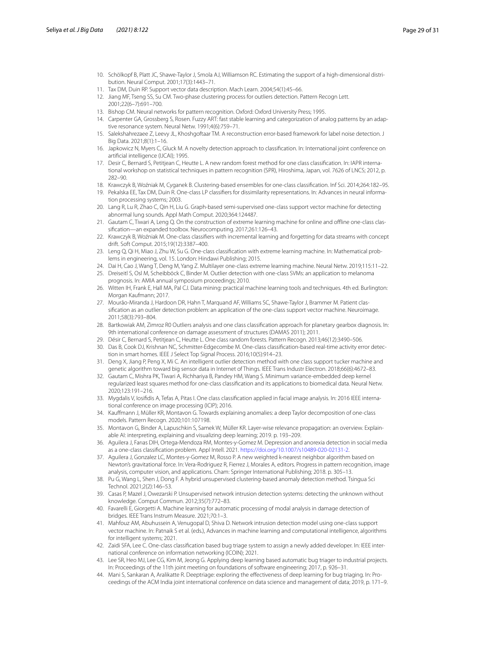- <span id="page-28-0"></span>10. Schölkopf B, Platt JC, Shawe-Taylor J, Smola AJ, Williamson RC. Estimating the support of a high-dimensional distribution. Neural Comput. 2001;17(3):1443–71.
- <span id="page-28-1"></span>11. Tax DM, Duin RP. Support vector data description. Mach Learn. 2004;54(1):45–66.
- <span id="page-28-2"></span>12. Jiang MF, Tseng SS, Su CM. Two-phase clustering process for outliers detection. Pattern Recogn Lett. 2001;22(6–7):691–700.
- <span id="page-28-3"></span>13. Bishop CM. Neural networks for pattern recognition. Oxford: Oxford University Press; 1995.
- <span id="page-28-4"></span>14. Carpenter GA, Grossberg S, Rosen. Fuzzy ART: fast stable learning and categorization of analog patterns by an adaptive resonance system. Neural Netw. 1991;4(6):759–71.
- <span id="page-28-5"></span>15. Salekshahrezaee Z, Leevy JL, Khoshgoftaar TM. A reconstruction error-based framework for label noise detection. J Big Data. 2021;8(1):1–16.
- <span id="page-28-6"></span>16. Japkowicz N, Myers C, Gluck M. A novelty detection approach to classifcation. In: International joint conference on artifcial intelligence (IJCAI); 1995.
- <span id="page-28-7"></span>17. Desir C, Bernard S, Petitjean C, Heutte L. A new random forest method for one class classifcation. In: IAPR international workshop on statistical techniques in pattern recognition (SPR), Hiroshima, Japan, vol. 7626 of LNCS; 2012, p. 282–90.
- <span id="page-28-8"></span>18. Krawczyk B, Woźniak M, Cyganek B. Clustering-based ensembles for one-class classifcation. Inf Sci. 2014;264:182–95.
- <span id="page-28-9"></span>19. Pekalska EE, Tax DM, Duin R. One-class LP classifers for dissimilarity representations. In: Advances in neural information processing systems; 2003.
- <span id="page-28-10"></span>20. Lang R, Lu R, Zhao C, Qin H, Liu G. Graph-based semi-supervised one-class support vector machine for detecting abnormal lung sounds. Appl Math Comput. 2020;364:124487.
- <span id="page-28-11"></span>21. Gautam C, Tiwari A, Leng Q. On the construction of extreme learning machine for online and ofine one-class classifcation—an expanded toolbox. Neurocomputing. 2017;261:126–43.
- <span id="page-28-12"></span>22. Krawczyk B, Woźniak M. One-class classifers with incremental learning and forgetting for data streams with concept drift. Soft Comput. 2015;19(12):3387–400.
- <span id="page-28-13"></span>23. Leng Q, Qi H, Miao J, Zhu W, Su G. One-class classifcation with extreme learning machine. In: Mathematical problems in engineering, vol. 15. London: Hindawi Publishing; 2015.
- <span id="page-28-14"></span>24. Dai H, Cao J, Wang T, Deng M, Yang Z. Multilayer one-class extreme learning machine. Neural Netw. 2019;115:11–22.
- <span id="page-28-15"></span>25. Dreiseitl S, Osl M, Scheibböck C, Binder M. Outlier detection with one-class SVMs: an application to melanoma prognosis. In: AMIA annual symposium proceedings; 2010.
- <span id="page-28-16"></span>26. Witten IH, Frank E, Hall MA, Pal CJ. Data mining: practical machine learning tools and techniques. 4th ed. Burlington: Morgan Kaufmann; 2017.
- <span id="page-28-17"></span>27. Mourão-Miranda J, Hardoon DR, Hahn T, Marquand AF, Williams SC, Shawe-Taylor J, Brammer M. Patient classification as an outlier detection problem: an application of the one-class support vector machine. Neuroimage 2011;58(3):793–804.
- <span id="page-28-18"></span>28. Bartkowiak AM, Zimroz R0 Outliers analysis and one class classifcation approach for planetary gearbox diagnosis. In: 9th international conference on damage assessment of structures (DAMAS 2011); 2011.
- <span id="page-28-19"></span>29. Désir C, Bernard S, Petitjean C, Heutte L. One class random forests. Pattern Recogn. 2013;46(12):3490–506.
- <span id="page-28-20"></span>30. Das B, Cook DJ, Krishnan NC, Schmitter-Edgecombe M. One-class classifcation-based real-time activity error detection in smart homes. IEEE J Select Top Signal Process. 2016;10(5):914–23.
- <span id="page-28-21"></span>31. Deng X, Jiang P, Peng X, Mi C. An intelligent outlier detection method with one class support tucker machine and genetic algorithm toward big sensor data in Internet of Things. IEEE Trans Industr Electron. 2018;66(6):4672–83.
- <span id="page-28-22"></span>32. Gautam C, Mishra PK, Tiwari A, Richhariya B, Pandey HM, Wang S. Minimum variance-embedded deep kernel regularized least squares method for one-class classifcation and its applications to biomedical data. Neural Netw. 2020;123:191–216.
- <span id="page-28-23"></span>33. Mygdalis V, Iosifdis A, Tefas A, Pitas I. One class classifcation applied in facial image analysis. In: 2016 IEEE international conference on image processing (ICIP); 2016.
- <span id="page-28-24"></span>34. Kaufmann J, Müller KR, Montavon G. Towards explaining anomalies: a deep Taylor decomposition of one-class models. Pattern Recogn. 2020;101:107198.
- <span id="page-28-25"></span>35. Montavon G, Binder A, Lapuschkin S, Samek W, Müller KR. Layer-wise relevance propagation: an overview. Explainable AI: interpreting, explaining and visualizing deep learning; 2019. p. 193–209.
- <span id="page-28-26"></span>36. Aguilera J, Farıas DIH, Ortega-Mendoza RM, Montes-y-Gomez M. Depression and anorexia detection in social media as a one-class classifcation problem. Appl Intell. 2021. <https://doi.org/10.1007/s10489-020-02131-2>.
- <span id="page-28-27"></span>37. Aguilera J, Gonzalez LC, Montes-y-Gomez M, Rosso P. A new weighted k-nearest neighbor algorithm based on Newton's gravitational force. In: Vera-Rodriguez R, Fierrez J, Morales A, editors. Progress in pattern recognition, image analysis, computer vision, and applications. Cham: Springer International Publishing; 2018. p. 305–13.
- <span id="page-28-28"></span>38. Pu G, Wang L, Shen J, Dong F. A hybrid unsupervised clustering-based anomaly detection method. Tsingua Sci Technol. 2021;2(2):146–53.
- <span id="page-28-29"></span>39. Casas P, Mazel J, Owezarski P. Unsupervised network intrusion detection systems: detecting the unknown without knowledge. Comput Commun. 2012;35(7):772–83.
- <span id="page-28-30"></span>40. Favarelli E, Giorgetti A. Machine learning for automatic processing of modal analysis in damage detection of bridges. IEEE Trans Instrum Measure. 2021;70:1–3.
- <span id="page-28-31"></span>41. Mahfouz AM, Abuhussein A, Venugopal D, Shiva D. Network intrusion detection model using one-class support vector machine. In: Patnaik S et al. (eds.), Advances in machine learning and computational intelligence, algorithms for intelligent systems; 2021.
- <span id="page-28-32"></span>42. Zaidi SFA, Lee C. One-class classifcation based bug triage system to assign a newly added developer. In: IEEE international conference on information networking (ICOIN); 2021.
- <span id="page-28-33"></span>43. Lee SR, Heo MJ, Lee CG, Kim M, Jeong G. Applying deep learning based automatic bug triager to industrial projects. In: Proceedings of the 11th joint meeting on foundations of software engineering; 2017, p. 926–31.
- <span id="page-28-34"></span>44. Mani S, Sankaran A, Aralikatte R. Deeptriage: exploring the efectiveness of deep learning for bug triaging. In: Proceedings of the ACM India joint international conference on data science and management of data; 2019, p. 171–9.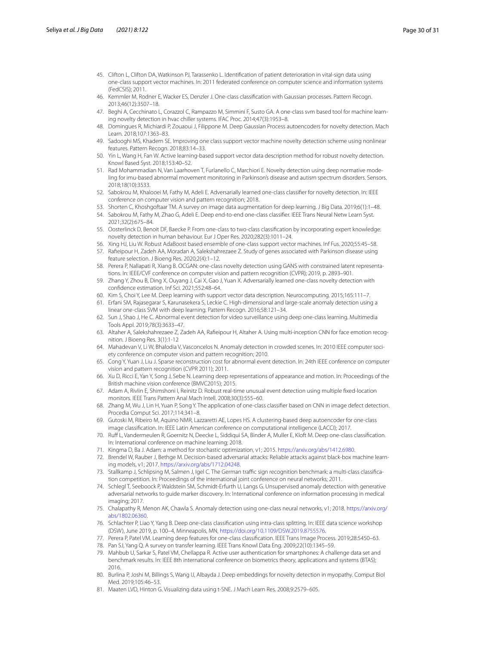- <span id="page-29-0"></span>45. Clifton L, Clifton DA, Watkinson PJ, Tarassenko L. Identifcation of patient deterioration in vital-sign data using one-class support vector machines. In: 2011 federated conference on computer science and information systems (FedCSIS); 2011.
- <span id="page-29-1"></span>46. Kemmler M, Rodner E, Wacker ES, Denzler J. One-class classifcation with Gaussian processes. Pattern Recogn. 2013;46(12):3507–18.
- <span id="page-29-2"></span>47. Beghi A, Cecchinato L, Corazzol C, Rampazzo M, Simmini F, Susto GA. A one-class svm based tool for machine learning novelty detection in hvac chiller systems. IFAC Proc. 2014;47(3):1953–8.
- <span id="page-29-3"></span>48. Domingues R, Michiardi P, Zouaoui J, Filippone M. Deep Gaussian Process autoencoders for novelty detection. Mach Learn. 2018;107:1363–83.
- <span id="page-29-4"></span>49. Sadooghi MS, Khadem SE. Improving one class support vector machine novelty detection scheme using nonlinear features. Pattern Recogn. 2018;83:14–33.
- <span id="page-29-5"></span>50. Yin L, Wang H, Fan W. Active learning-based support vector data description method for robust novelty detection. Knowl Based Syst. 2018;153:40–52.
- <span id="page-29-6"></span>51. Rad Mohammadian N, Van Laarhoven T, Furlanello C, Marchiori E. Novelty detection using deep normative modeling for imu-based abnormal movement monitoring in Parkinson's disease and autism spectrum disorders. Sensors. 2018;18(10):3533.
- <span id="page-29-7"></span>52. Sabokrou M, Khalooei M, Fathy M, Adeli E. Adversarially learned one-class classifer for novelty detection. In: IEEE conference on computer vision and pattern recognition; 2018.
- <span id="page-29-8"></span>53. Shorten C, Khoshgoftaar TM. A survey on image data augmentation for deep learning. J Big Data. 2019;6(1):1–48.
- <span id="page-29-9"></span>54. Sabokrou M, Fathy M, Zhao G, Adeli E. Deep end-to-end one-class classifer. IEEE Trans Neural Netw Learn Syst. 2021;32(2):675–84.
- <span id="page-29-10"></span>55. Oosterlinck D, Benoit DF, Baecke P. From one-class to two-class classifcation by incorporating expert knowledge: novelty detection in human behaviour. Eur J Oper Res. 2020;282(3):1011–24.
- <span id="page-29-11"></span>56. Xing HJ, Liu W. Robust AdaBoost based ensemble of one-class support vector machines. Inf Fus. 2020;55:45–58.
- <span id="page-29-12"></span>57. Rafeipour H, Zadeh AA, Moradan A, Salekshahrezaee Z. Study of genes associated with Parkinson disease using feature selection. J Bioeng Res. 2020;2(4):1–12.
- <span id="page-29-13"></span>58. Perera P, Nallapati R, Xiang B. OCGAN: one-class novelty detection using GANS with constrained latent representations. In: IEEE/CVF conference on computer vision and pattern recognition (CVPR); 2019, p. 2893–901.
- <span id="page-29-14"></span>59. Zhang Y, Zhou B, Ding X, Ouyang J, Cai X, Gao J, Yuan X. Adversarially learned one-class novelty detection with confdence estimation. Inf Sci. 2021;552:48–64.
- <span id="page-29-15"></span>60. Kim S, Choi Y, Lee M. Deep learning with support vector data description. Neurocomputing. 2015;165:111–7.
- <span id="page-29-16"></span>61. Erfani SM, Rajasegarar S, Karunasekera S, Leckie C. High-dimensional and large-scale anomaly detection using a linear one-class SVM with deep learning. Pattern Recogn. 2016;58:121–34.
- <span id="page-29-17"></span>62. Sun J, Shao J, He C. Abnormal event detection for video surveillance using deep one-class learning. Multimedia Tools Appl. 2019;78(3):3633–47.
- <span id="page-29-18"></span>63. Altaher A, Salekshahrezaee Z, Zadeh AA, Rafeipour H, Altaher A. Using multi-inception CNN for face emotion recognition. J Bioeng Res. 3(1):1-12
- <span id="page-29-19"></span>64. Mahadevan V, Li W, Bhalodia V, Vasconcelos N. Anomaly detection in crowded scenes. In: 2010 IEEE computer society conference on computer vision and pattern recognition; 2010.
- <span id="page-29-20"></span>65. Cong Y, Yuan J, Liu J. Sparse reconstruction cost for abnormal event detection. In: 24th IEEE conference on computer vision and pattern recognition (CVPR 2011); 2011.
- <span id="page-29-21"></span>66. Xu D, Ricci E, Yan Y, Song J, Sebe N. Learning deep representations of appearance and motion. In: Proceedings of the British machine vision conference (BMVC2015); 2015.
- <span id="page-29-22"></span>67. Adam A, Rivlin E, Shimshoni I, Reinitz D. Robust real-time unusual event detection using multiple fxed-location monitors. IEEE Trans Pattern Anal Mach Intell. 2008;30(3):555–60.
- <span id="page-29-23"></span>68. Zhang M, Wu J, Lin H, Yuan P, Song Y. The application of one-class classifer based on CNN in image defect detection. Procedia Comput Sci. 2017;114:341–8.
- <span id="page-29-24"></span>69. Gutoski M, Ribeiro M, Aquino NMR, Lazzaretti AE, Lopes HS. A clustering-based deep autoencoder for one-class image classifcation. In: IEEE Latin American conference on computational intelligence (LACCI); 2017.
- <span id="page-29-25"></span>70. Ruf L, Vandermeulen R, Goernitz N, Deecke L, Siddiqui SA, Binder A, Muller E, Kloft M. Deep one-class classifcation. In: International conference on machine learning; 2018.
- <span id="page-29-26"></span>71. Kingma D, Ba J. Adam: a method for stochastic optimization, v1; 2015. <https://arxiv.org/abs/1412.6980>.
- <span id="page-29-27"></span>72. Brendel W, Rauber J, Bethge M. Decision-based adversarial attacks: Reliable attacks against black-box machine learning models, v1; 2017. [https://arxiv.org/abs/1712.04248.](https://arxiv.org/abs/1712.04248)
- <span id="page-29-28"></span>73. Stallkamp J, Schlipsing M, Salmen J, Igel C. The German traffic sign recognition benchmark: a multi-class classification competition. In: Proceedings of the international joint conference on neural networks; 2011.
- <span id="page-29-29"></span>74. Schlegl T, Seeboock P, Waldstein SM, Schmidt-Erfurth U, Langs G. Unsupervised anomaly detection with generative adversarial networks to guide marker discovery. In: International conference on information processing in medical imaging; 2017.
- <span id="page-29-30"></span>75. Chalapathy R, Menon AK, Chawla S. Anomaly detection using one-class neural networks, v1; 2018. [https://arxiv.org/](https://arxiv.org/abs/1802.06360) abs/1802.06360
- <span id="page-29-31"></span>76. Schlachter P, Liao Y, Yang B. Deep one-class classifcation using intra-class splitting. In: IEEE data science workshop (DSW), June 2019, p. 100–4, Minneapolis, MN,<https://doi.org/10.1109/DSW.2019.8755576>.
- <span id="page-29-32"></span>77. Perera P, Patel VM. Learning deep features for one-class classifcation. IEEE Trans Image Process. 2019;28:5450–63.
- <span id="page-29-33"></span>78. Pan SJ, Yang Q. A survey on transfer learning. IEEE Trans Knowl Data Eng. 2009;22(10):1345–59.
- <span id="page-29-34"></span>79. Mahbub U, Sarkar S, Patel VM, Chellappa R. Active user authentication for smartphones: A challenge data set and benchmark results. In: IEEE 8th international conference on biometrics theory, applications and systems (BTAS); 2016.
- <span id="page-29-35"></span>80. Burlina P, Joshi M, Billings S, Wang IJ, Albayda J. Deep embeddings for novelty detection in myopathy. Comput Biol Med. 2019;105:46–53.
- <span id="page-29-36"></span>81. Maaten LVD, Hinton G. Visualizing data using t-SNE. J Mach Learn Res. 2008;9:2579–605.